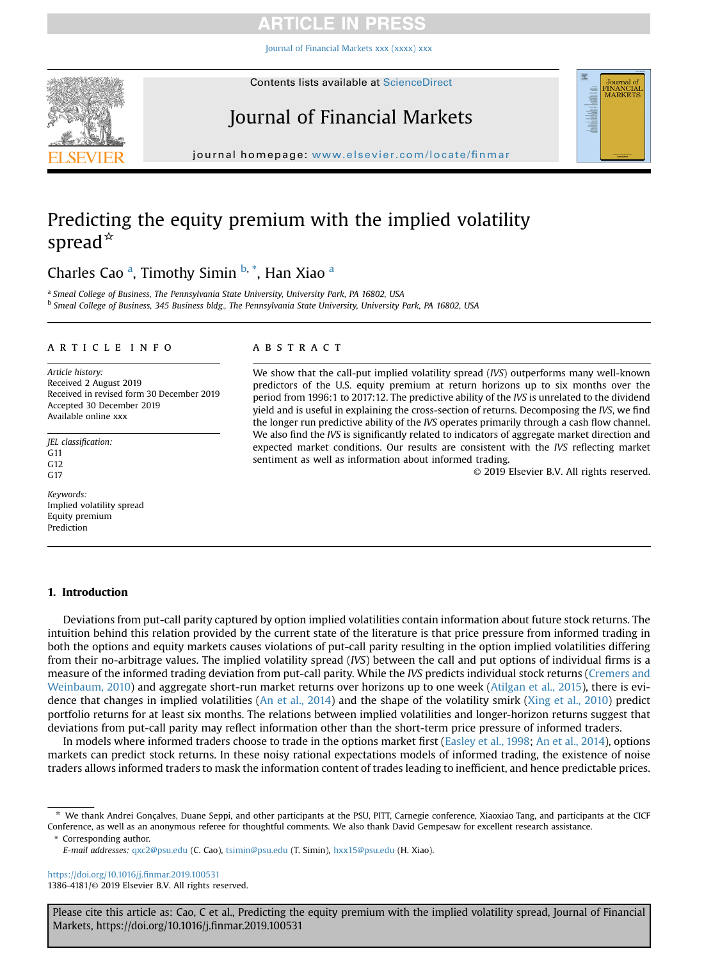# **TICLE IN PRES**

[Journal of Financial Markets xxx \(xxxx\) xxx](https://doi.org/10.1016/j.finmar.2019.100531)

<span id="page-0-0"></span>

# Journal of Financial Markets



 $j$ , where  $\mathcal{L}$  is  $\mathcal{L}$ 

# Predicting the equity premium with the implied volatility spread $*$

# Charles Cao<sup>a</sup>, Timothy Simin <sup>b,\*</sup>, Han Xiao<sup>a</sup>

<sup>a</sup> Smeal College of Business, The Pennsylvania State University, University Park, PA 16802, USA <sup>b</sup> Smeal College of Business, 345 Business bldg., The Pennsylvania State University, University Park, PA 16802, USA

## article info

Article history: Received 2 August 2019 Received in revised form 30 December 2019 Accepted 30 December 2019 Available online xxx

JEL classification: G11 G12 G17

Keywords: Implied volatility spread Equity premium Prediction

## **ABSTRACT**

We show that the call-put implied volatility spread (IVS) outperforms many well-known predictors of the U.S. equity premium at return horizons up to six months over the period from 1996:1 to 2017:12. The predictive ability of the IVS is unrelated to the dividend yield and is useful in explaining the cross-section of returns. Decomposing the IVS, we find the longer run predictive ability of the IVS operates primarily through a cash flow channel. We also find the IVS is significantly related to indicators of aggregate market direction and expected market conditions. Our results are consistent with the IVS reflecting market sentiment as well as information about informed trading.

© 2019 Elsevier B.V. All rights reserved.

# 1. Introduction

Deviations from put-call parity captured by option implied volatilities contain information about future stock returns. The intuition behind this relation provided by the current state of the literature is that price pressure from informed trading in both the options and equity markets causes violations of put-call parity resulting in the option implied volatilities differing from their no-arbitrage values. The implied volatility spread (IVS) between the call and put options of individual firms is a measure of the informed trading deviation from put-call parity. While the IVS predicts individual stock returns ([Cremers and](#page-16-0) [Weinbaum, 2010\)](#page-16-0) and aggregate short-run market returns over horizons up to one week ([Atilgan et al., 2015](#page-15-0)), there is evidence that changes in implied volatilities [\(An et al., 2014](#page-15-0)) and the shape of the volatility smirk [\(Xing et al., 2010](#page-16-0)) predict portfolio returns for at least six months. The relations between implied volatilities and longer-horizon returns suggest that deviations from put-call parity may reflect information other than the short-term price pressure of informed traders.

In models where informed traders choose to trade in the options market first [\(Easley et al., 1998;](#page-16-0) [An et al., 2014\)](#page-15-0), options markets can predict stock returns. In these noisy rational expectations models of informed trading, the existence of noise traders allows informed traders to mask the information content of trades leading to inefficient, and hence predictable prices.

\* Corresponding author.

[https://doi.org/10.1016/j.](https://doi.org/10.1016/j.finmar.2019.100531)finmar.2019.100531 1386-4181/© 2019 Elsevier B.V. All rights reserved.

<sup>\*</sup> We thank Andrei Gonçalves, Duane Seppi, and other participants at the PSU, PITT, Carnegie conference, Xiaoxiao Tang, and participants at the CICF Conference, as well as an anonymous referee for thoughtful comments. We also thank David Gempesaw for excellent research assistance.

E-mail addresses: [qxc2@psu.edu](mailto:qxc2@psu.edu) (C. Cao), [tsimin@psu.edu](mailto:tsimin@psu.edu) (T. Simin), [hxx15@psu.edu](mailto:hxx15@psu.edu) (H. Xiao).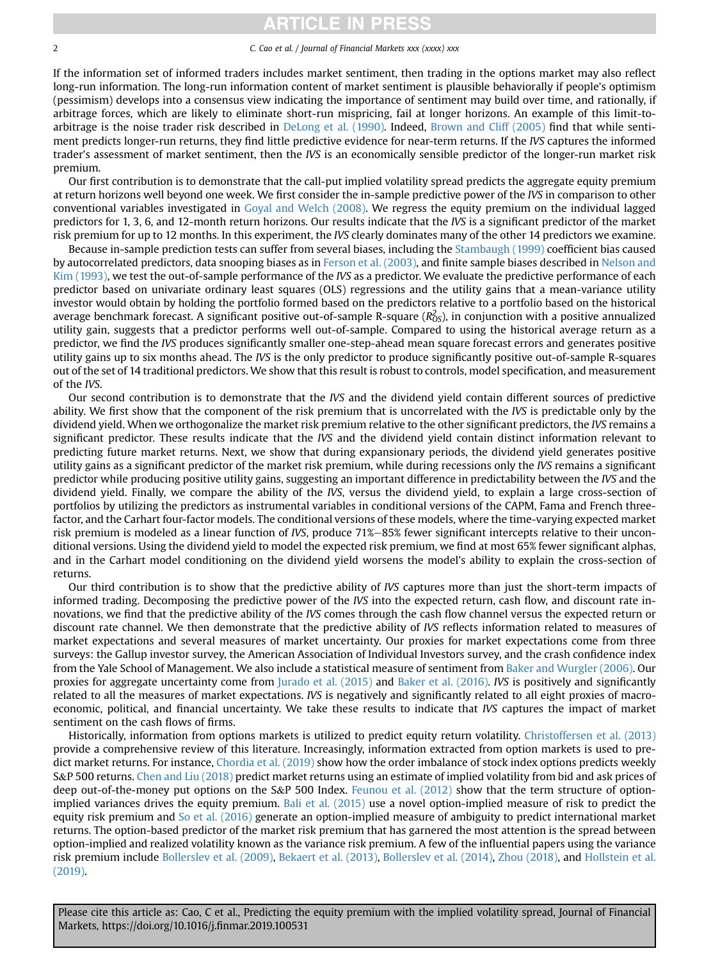# RTICLE IN PRES

# 2 C. Cao et al. / Journal of Financial Markets xxx (xxxx) xxx

If the information set of informed traders includes market sentiment, then trading in the options market may also reflect long-run information. The long-run information content of market sentiment is plausible behaviorally if people's optimism (pessimism) develops into a consensus view indicating the importance of sentiment may build over time, and rationally, if arbitrage forces, which are likely to eliminate short-run mispricing, fail at longer horizons. An example of this limit-toarbitrage is the noise trader risk described in [DeLong et al. \(1990\)](#page-16-0). Indeed, [Brown and Cliff \(2005\)](#page-16-0) find that while sentiment predicts longer-run returns, they find little predictive evidence for near-term returns. If the IVS captures the informed trader's assessment of market sentiment, then the IVS is an economically sensible predictor of the longer-run market risk premium.

Our first contribution is to demonstrate that the call-put implied volatility spread predicts the aggregate equity premium at return horizons well beyond one week. We first consider the in-sample predictive power of the IVS in comparison to other conventional variables investigated in [Goyal and Welch \(2008\).](#page-16-0) We regress the equity premium on the individual lagged predictors for 1, 3, 6, and 12-month return horizons. Our results indicate that the IVS is a significant predictor of the market risk premium for up to 12 months. In this experiment, the IVS clearly dominates many of the other 14 predictors we examine.

Because in-sample prediction tests can suffer from several biases, including the [Stambaugh \(1999\)](#page-16-0) coefficient bias caused by autocorrelated predictors, data snooping biases as in [Ferson et al. \(2003\)](#page-16-0), and finite sample biases described in [Nelson and](#page-16-0) [Kim \(1993\),](#page-16-0) we test the out-of-sample performance of the IVS as a predictor. We evaluate the predictive performance of each predictor based on univariate ordinary least squares (OLS) regressions and the utility gains that a mean-variance utility investor would obtain by holding the portfolio formed based on the predictors relative to a portfolio based on the historical average benchmark forecast. A significant positive out-of-sample R-square ( $R_{\rm OS}^2$ ), in conjunction with a positive annualized utility gain, suggests that a predictor performs well out-of-sample. Compared to using the historical average return as a predictor, we find the IVS produces significantly smaller one-step-ahead mean square forecast errors and generates positive utility gains up to six months ahead. The IVS is the only predictor to produce significantly positive out-of-sample R-squares out of the set of 14 traditional predictors. We show that this result is robust to controls, model specification, and measurement of the IVS.

Our second contribution is to demonstrate that the IVS and the dividend yield contain different sources of predictive ability. We first show that the component of the risk premium that is uncorrelated with the IVS is predictable only by the dividend yield. When we orthogonalize the market risk premium relative to the other significant predictors, the IVS remains a significant predictor. These results indicate that the IVS and the dividend yield contain distinct information relevant to predicting future market returns. Next, we show that during expansionary periods, the dividend yield generates positive utility gains as a significant predictor of the market risk premium, while during recessions only the IVS remains a significant predictor while producing positive utility gains, suggesting an important difference in predictability between the IVS and the dividend yield. Finally, we compare the ability of the IVS, versus the dividend yield, to explain a large cross-section of portfolios by utilizing the predictors as instrumental variables in conditional versions of the CAPM, Fama and French threefactor, and the Carhart four-factor models. The conditional versions of these models, where the time-varying expected market risk premium is modeled as a linear function of IVS, produce  $71\%-85\%$  fewer significant intercepts relative to their unconditional versions. Using the dividend yield to model the expected risk premium, we find at most 65% fewer significant alphas, and in the Carhart model conditioning on the dividend yield worsens the model's ability to explain the cross-section of returns.

Our third contribution is to show that the predictive ability of IVS captures more than just the short-term impacts of informed trading. Decomposing the predictive power of the IVS into the expected return, cash flow, and discount rate innovations, we find that the predictive ability of the IVS comes through the cash flow channel versus the expected return or discount rate channel. We then demonstrate that the predictive ability of IVS reflects information related to measures of market expectations and several measures of market uncertainty. Our proxies for market expectations come from three surveys: the Gallup investor survey, the American Association of Individual Investors survey, and the crash confidence index from the Yale School of Management. We also include a statistical measure of sentiment from [Baker and Wurgler \(2006\)](#page-15-0). Our proxies for aggregate uncertainty come from [Jurado et al. \(2015\)](#page-16-0) and [Baker et al. \(2016\).](#page-15-0) IVS is positively and significantly related to all the measures of market expectations. IVS is negatively and significantly related to all eight proxies of macroeconomic, political, and financial uncertainty. We take these results to indicate that IVS captures the impact of market sentiment on the cash flows of firms.

Historically, information from options markets is utilized to predict equity return volatility. [Christoffersen et al. \(2013\)](#page-16-0) provide a comprehensive review of this literature. Increasingly, information extracted from option markets is used to predict market returns. For instance, [Chordia et al. \(2019\)](#page-16-0) show how the order imbalance of stock index options predicts weekly S&P 500 returns. [Chen and Liu \(2018\)](#page-16-0) predict market returns using an estimate of implied volatility from bid and ask prices of deep out-of-the-money put options on the S&P 500 Index. [Feunou et al. \(2012\)](#page-16-0) show that the term structure of optionimplied variances drives the equity premium. [Bali et al. \(2015\)](#page-15-0) use a novel option-implied measure of risk to predict the equity risk premium and [So et al. \(2016\)](#page-16-0) generate an option-implied measure of ambiguity to predict international market returns. The option-based predictor of the market risk premium that has garnered the most attention is the spread between option-implied and realized volatility known as the variance risk premium. A few of the influential papers using the variance risk premium include [Bollerslev et al. \(2009\)](#page-15-0), [Bekaert et al. \(2013\)](#page-15-0), [Bollerslev et al. \(2014\)](#page-15-0), [Zhou \(2018\)](#page-16-0), and [Hollstein et al.](#page-16-0) [\(2019\)](#page-16-0).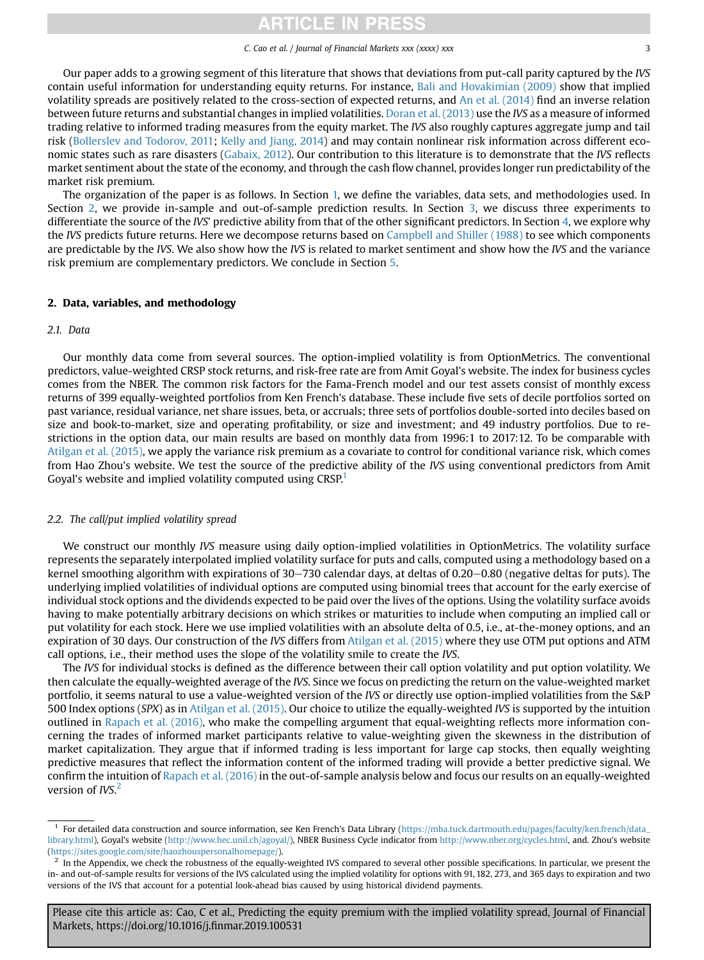# **TICLE IN PRES**

#### C. Cao et al. / Journal of Financial Markets xxx (xxxx) xxx 33

Our paper adds to a growing segment of this literature that shows that deviations from put-call parity captured by the IVS contain useful information for understanding equity returns. For instance, [Bali and Hovakimian \(2009\)](#page-15-0) show that implied volatility spreads are positively related to the cross-section of expected returns, and [An et al. \(2014\)](#page-15-0) find an inverse relation between future returns and substantial changes in implied volatilities. [Doran et al. \(2013\)](#page-16-0) use the IVS as a measure of informed trading relative to informed trading measures from the equity market. The IVS also roughly captures aggregate jump and tail risk ([Bollerslev and Todorov, 2011](#page-15-0); [Kelly and Jiang, 2014](#page-16-0)) and may contain nonlinear risk information across different economic states such as rare disasters ([Gabaix, 2012](#page-16-0)). Our contribution to this literature is to demonstrate that the IVS reflects market sentiment about the state of the economy, and through the cash flow channel, provides longer run predictability of the market risk premium.

The organization of the paper is as follows. In Section [1,](#page-0-0) we define the variables, data sets, and methodologies used. In Section 2, we provide in-sample and out-of-sample prediction results. In Section [3,](#page-5-0) we discuss three experiments to differentiate the source of the IVS' predictive ability from that of the other significant predictors. In Section [4,](#page-7-0) we explore why the IVS predicts future returns. Here we decompose returns based on [Campbell and Shiller \(1988\)](#page-16-0) to see which components are predictable by the IVS. We also show how the IVS is related to market sentiment and show how the IVS and the variance risk premium are complementary predictors. We conclude in Section [5](#page-10-0).

## 2. Data, variables, and methodology

## 2.1. Data

Our monthly data come from several sources. The option-implied volatility is from OptionMetrics. The conventional predictors, value-weighted CRSP stock returns, and risk-free rate are from Amit Goyal's website. The index for business cycles comes from the NBER. The common risk factors for the Fama-French model and our test assets consist of monthly excess returns of 399 equally-weighted portfolios from Ken French's database. These include five sets of decile portfolios sorted on past variance, residual variance, net share issues, beta, or accruals; three sets of portfolios double-sorted into deciles based on size and book-to-market, size and operating profitability, or size and investment; and 49 industry portfolios. Due to restrictions in the option data, our main results are based on monthly data from 1996:1 to 2017:12. To be comparable with [Atilgan et al. \(2015\)](#page-15-0), we apply the variance risk premium as a covariate to control for conditional variance risk, which comes from Hao Zhou's website. We test the source of the predictive ability of the IVS using conventional predictors from Amit Goyal's website and implied volatility computed using CRSP.<sup>1</sup>

## 2.2. The call/put implied volatility spread

We construct our monthly IVS measure using daily option-implied volatilities in OptionMetrics. The volatility surface represents the separately interpolated implied volatility surface for puts and calls, computed using a methodology based on a kernel smoothing algorithm with expirations of  $30-730$  calendar days, at deltas of 0.20 $-0.80$  (negative deltas for puts). The underlying implied volatilities of individual options are computed using binomial trees that account for the early exercise of individual stock options and the dividends expected to be paid over the lives of the options. Using the volatility surface avoids having to make potentially arbitrary decisions on which strikes or maturities to include when computing an implied call or put volatility for each stock. Here we use implied volatilities with an absolute delta of 0.5, i.e., at-the-money options, and an expiration of 30 days. Our construction of the IVS differs from [Atilgan et al. \(2015\)](#page-15-0) where they use OTM put options and ATM call options, i.e., their method uses the slope of the volatility smile to create the IVS.

The IVS for individual stocks is defined as the difference between their call option volatility and put option volatility. We then calculate the equally-weighted average of the IVS. Since we focus on predicting the return on the value-weighted market portfolio, it seems natural to use a value-weighted version of the IVS or directly use option-implied volatilities from the S&P 500 Index options (SPX) as in [Atilgan et al. \(2015\).](#page-15-0) Our choice to utilize the equally-weighted IVS is supported by the intuition outlined in [Rapach et al. \(2016\),](#page-16-0) who make the compelling argument that equal-weighting reflects more information concerning the trades of informed market participants relative to value-weighting given the skewness in the distribution of market capitalization. They argue that if informed trading is less important for large cap stocks, then equally weighting predictive measures that reflect the information content of the informed trading will provide a better predictive signal. We confirm the intuition of [Rapach et al. \(2016\)](#page-16-0) in the out-of-sample analysis below and focus our results on an equally-weighted version of IVS.<sup>2</sup>

 $<sup>1</sup>$  For detailed data construction and source information, see Ken French's Data Library ([https://mba.tuck.dartmouth.edu/pages/faculty/ken.french/data\\_](https://mba.tuck.dartmouth.edu/pages/faculty/ken.french/data_library.html)</sup> [library.html](https://mba.tuck.dartmouth.edu/pages/faculty/ken.french/data_library.html)), Goyal's website (<http://www.hec.unil.ch/agoyal/>), NBER Business Cycle indicator from <http://www.nber.org/cycles.html>, and. Zhou's website [\(https://sites.google.com/site/haozhouspersonalhomepage/](https://sites.google.com/site/haozhouspersonalhomepage/)).

 $2\,$  In the Appendix, we check the robustness of the equally-weighted IVS compared to several other possible specifications. In particular, we present the in- and out-of-sample results for versions of the IVS calculated using the implied volatility for options with 91, 182, 273, and 365 days to expiration and two versions of the IVS that account for a potential look-ahead bias caused by using historical dividend payments.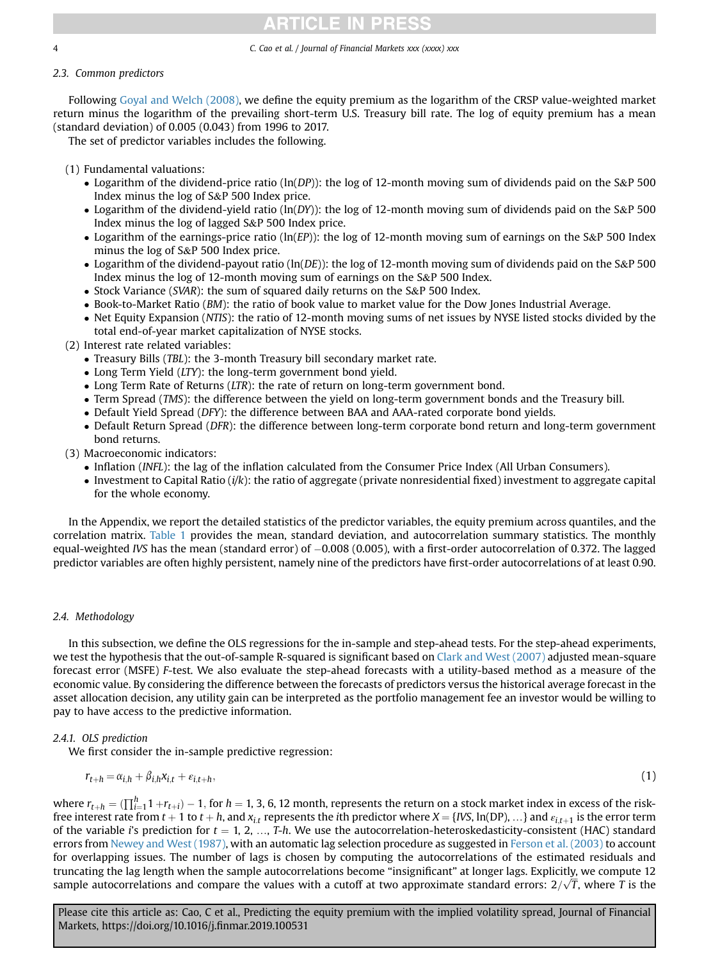# <span id="page-3-0"></span>2.3. Common predictors

Following [Goyal and Welch \(2008\),](#page-16-0) we define the equity premium as the logarithm of the CRSP value-weighted market return minus the logarithm of the prevailing short-term U.S. Treasury bill rate. The log of equity premium has a mean (standard deviation) of 0.005 (0.043) from 1996 to 2017.

4 C. Cao et al. / Journal of Financial Markets xxx (xxxx) xxx

**TICLE IN PRES** 

The set of predictor variables includes the following.

(1) Fundamental valuations:

- Logarithm of the dividend-price ratio ( $\ln(DP)$ ): the log of 12-month moving sum of dividends paid on the S&P 500 Index minus the log of S&P 500 Index price.
- Logarithm of the dividend-yield ratio ( $ln(DY)$ ): the log of 12-month moving sum of dividends paid on the S&P 500 Index minus the log of lagged S&P 500 Index price.
- Logarithm of the earnings-price ratio ( $\ln(EP)$ ): the log of 12-month moving sum of earnings on the S&P 500 Index minus the log of S&P 500 Index price.
- Logarithm of the dividend-payout ratio ( $ln(DE)$ ): the log of 12-month moving sum of dividends paid on the S&P 500 Index minus the log of 12-month moving sum of earnings on the S&P 500 Index.
- Stock Variance (SVAR): the sum of squared daily returns on the S&P 500 Index.
- Book-to-Market Ratio (BM): the ratio of book value to market value for the Dow Jones Industrial Average.
- Net Equity Expansion (NTIS): the ratio of 12-month moving sums of net issues by NYSE listed stocks divided by the total end-of-year market capitalization of NYSE stocks.
- (2) Interest rate related variables:
	- Treasury Bills (TBL): the 3-month Treasury bill secondary market rate.
	- Long Term Yield (LTY): the long-term government bond yield.
	- Long Term Rate of Returns (LTR): the rate of return on long-term government bond.
	- Term Spread (TMS): the difference between the yield on long-term government bonds and the Treasury bill.
	- Default Yield Spread (DFY): the difference between BAA and AAA-rated corporate bond yields.
	- Default Return Spread (DFR): the difference between long-term corporate bond return and long-term government bond returns.
- (3) Macroeconomic indicators:
	- Inflation (INFL): the lag of the inflation calculated from the Consumer Price Index (All Urban Consumers).
	- $\bullet$  Investment to Capital Ratio (i/k): the ratio of aggregate (private nonresidential fixed) investment to aggregate capital for the whole economy.

In the Appendix, we report the detailed statistics of the predictor variables, the equity premium across quantiles, and the correlation matrix. [Table 1](#page-4-0) provides the mean, standard deviation, and autocorrelation summary statistics. The monthly equal-weighted IVS has the mean (standard error) of -0.008 (0.005), with a first-order autocorrelation of 0.372. The lagged predictor variables are often highly persistent, namely nine of the predictors have first-order autocorrelations of at least 0.90.

# 2.4. Methodology

In this subsection, we define the OLS regressions for the in-sample and step-ahead tests. For the step-ahead experiments, we test the hypothesis that the out-of-sample R-squared is significant based on [Clark and West \(2007\)](#page-16-0) adjusted mean-square forecast error (MSFE) F-test. We also evaluate the step-ahead forecasts with a utility-based method as a measure of the economic value. By considering the difference between the forecasts of predictors versus the historical average forecast in the asset allocation decision, any utility gain can be interpreted as the portfolio management fee an investor would be willing to pay to have access to the predictive information.

# 2.4.1. OLS prediction

We first consider the in-sample predictive regression:

$$
r_{t+h} = \alpha_{i,h} + \beta_{i,h} x_{i,t} + \varepsilon_{i,t+h},\tag{1}
$$

where  $r_{t+h} = (\prod_{i=1}^{h} 1 + r_{t+i}) - 1$ , for  $h = 1, 3, 6, 12$  month, represents the return on a stock market index in excess of the risk-<br>free interest rate from  $t+1$  to  $t+h$  and x. represents the ith predictor where  $X - IIX$  free interest rate from  $t + 1$  to  $t + h$ , and  $x_{i,t}$  represents the *i*th predictor where  $X = \{IVS, \ln(DP), ...\}$  and  $\varepsilon_{i,t+1}$  is the error term of the variable i's prediction for  $t = 1, 2, ..., T-h$ . We use the autocorrelation-heteroskedasticity-consistent (HAC) standard errors from [Newey and West \(1987\),](#page-16-0) with an automatic lag selection procedure as suggested in [Ferson et al. \(2003\)](#page-16-0) to account for overlapping issues. The number of lags is chosen by computing the autocorrelations of the estimated residuals and truncating the lag length when the sample autocorrelations become "insignificant" at longer lags. Explicitly, we compute 12 sample autocorrelations and compare the values with a cutoff at two approximate standard errors:  $2/\sqrt{7}$ , where T is the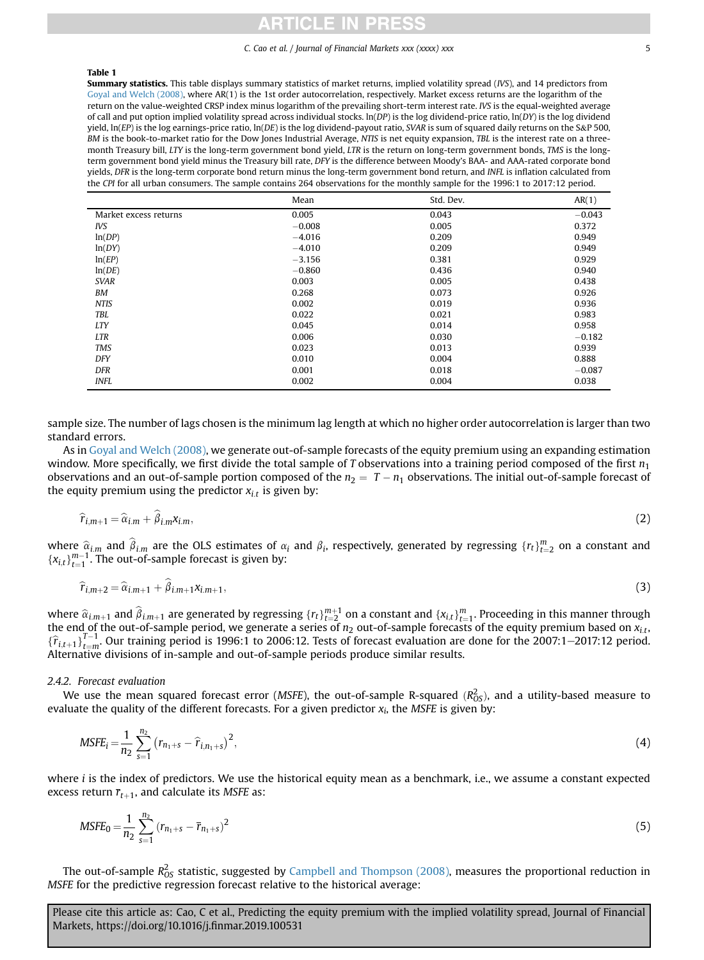### <span id="page-4-0"></span>Table 1

Summary statistics. This table displays summary statistics of market returns, implied volatility spread (IVS), and 14 predictors from [Goyal and Welch \(2008\),](#page-16-0) where AR(1) is the 1st order autocorrelation, respectively. Market excess returns are the logarithm of the return on the value-weighted CRSP index minus logarithm of the prevailing short-term interest rate. IVS is the equal-weighted average of call and put option implied volatility spread across individual stocks.  $\ln(DP)$  is the log dividend-price ratio,  $\ln(DY)$  is the log dividend yield, ln(EP) is the log earnings-price ratio, ln(DE) is the log dividend-payout ratio, SVAR is sum of squared daily returns on the S&P 500, BM is the book-to-market ratio for the Dow Jones Industrial Average, NTIS is net equity expansion, TBL is the interest rate on a threemonth Treasury bill, LTY is the long-term government bond yield, LTR is the return on long-term government bonds, TMS is the longterm government bond yield minus the Treasury bill rate, DFY is the difference between Moody's BAA- and AAA-rated corporate bond yields, DFR is the long-term corporate bond return minus the long-term government bond return, and INFL is inflation calculated from the CPI for all urban consumers. The sample contains 264 observations for the monthly sample for the 1996:1 to 2017:12 period.

|                       | Mean     | Std. Dev. | AR(1)    |
|-----------------------|----------|-----------|----------|
| Market excess returns | 0.005    | 0.043     | $-0.043$ |
| IVS                   | $-0.008$ | 0.005     | 0.372    |
| ln(DP)                | $-4.016$ | 0.209     | 0.949    |
| ln(DY)                | $-4.010$ | 0.209     | 0.949    |
| ln(EP)                | $-3.156$ | 0.381     | 0.929    |
| ln(DE)                | $-0.860$ | 0.436     | 0.940    |
| <b>SVAR</b>           | 0.003    | 0.005     | 0.438    |
| BM                    | 0.268    | 0.073     | 0.926    |
| <b>NTIS</b>           | 0.002    | 0.019     | 0.936    |
| TBL                   | 0.022    | 0.021     | 0.983    |
| <b>LTY</b>            | 0.045    | 0.014     | 0.958    |
| <b>LTR</b>            | 0.006    | 0.030     | $-0.182$ |
| <b>TMS</b>            | 0.023    | 0.013     | 0.939    |
| <b>DFY</b>            | 0.010    | 0.004     | 0.888    |
| <b>DFR</b>            | 0.001    | 0.018     | $-0.087$ |
| <b>INFL</b>           | 0.002    | 0.004     | 0.038    |

sample size. The number of lags chosen is the minimum lag length at which no higher order autocorrelation is larger than two standard errors.

As in [Goyal and Welch \(2008\)](#page-16-0), we generate out-of-sample forecasts of the equity premium using an expanding estimation window. More specifically, we first divide the total sample of T observations into a training period composed of the first  $n_1$ observations and an out-of-sample portion composed of the  $n_2 = T - n_1$  observations. The initial out-of-sample forecast of the equity premium using the predictor  $x_{i,t}$  is given by:

$$
\widehat{r}_{i,m+1} = \widehat{\alpha}_{i,m} + \widehat{\beta}_{i,m} x_{i,m},\tag{2}
$$

where  $\hat{\alpha}_{i,m}$  and  $\hat{\beta}_{i,m}$  are the OLS estimates of  $\alpha_i$  and  $\beta_i$ , respectively, generated by regressing  $\{r_t\}_{t=2}^m$  on a constant and  $\{\alpha_{i,m-1},\alpha_{i,m-1},\alpha_{i,m-1},\alpha_{i,m-1},\alpha_{i,m-1},\alpha_{i,m-1},\alpha_{i,m-1},\alpha_{i,m-1},\alpha_{i,m-1},\alpha$  ${x_{i,t}}_{t=1}^{m-1}$ . The out-of-sample forecast is given by:

$$
\widehat{r}_{i,m+2} = \widehat{\alpha}_{i,m+1} + \beta_{i,m+1} x_{i,m+1},\tag{3}
$$

where  $\widehat{\alpha}_{i,m+1}$  and  $\widehat{\beta}_{i,m+1}$  are generated by regressing  $\{r_t\}_{t=2}^{m+1}$  on a constant and  $\{x_{i,t}\}_{t=1}^m$ . Proceeding in this manner through<br>the end of the out-of-sample period, we generate a series of  $n_2$   ${\{\hat{r}}_{i,t+1}\}_{-m}^{T-1}$  Our training period is 1996:1 to 2006:12. Tests of forecast evaluation are done for the 2007:1–2017:12 period.<br>Alternative divisions of in-sample and out-of-sample periods produce similar results Alternative divisions of in-sample and out-of-sample periods produce similar results.

## 2.4.2. Forecast evaluation

We use the mean squared forecast error (*MSFE*), the out-of-sample R-squared ( $R_{OS}^2$ ), and a utility-based measure to luste the quality of the different forecasts. For a given predictor x, the *MSFE* is given by: evaluate the quality of the different forecasts. For a given predictor  $x_i$ , the MSFE is given by:

$$
MSFE_i = \frac{1}{n_2} \sum_{s=1}^{n_2} (r_{n_1+s} - \hat{r}_{i,n_1+s})^2,
$$
\n(4)

where *i* is the index of predictors. We use the historical equity mean as a benchmark, i.e., we assume a constant expected excess return  $\overline{r}_{t+1}$ , and calculate its MSFE as:

$$
MSFE_0 = \frac{1}{n_2} \sum_{s=1}^{n_2} (r_{n_1+s} - \overline{r}_{n_1+s})^2
$$
 (5)

The out-of-sample  $R_{OS}^2$  statistic, suggested by [Campbell and Thompson \(2008\)](#page-16-0), measures the proportional reduction in MSFE for the predictive regression forecast relative to the historical average: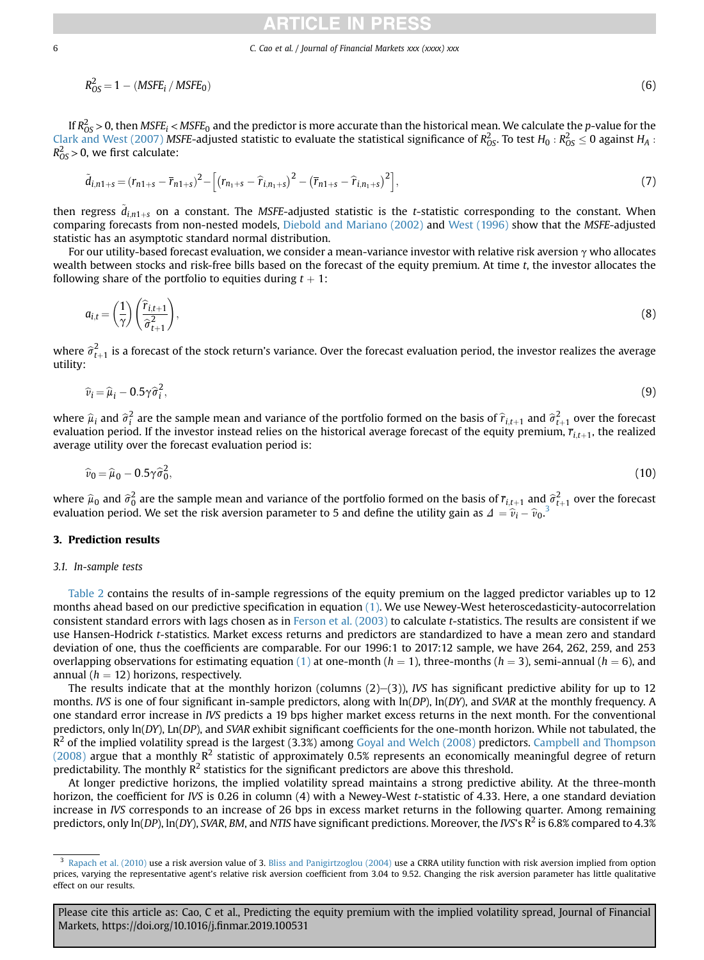<span id="page-5-0"></span>
$$
R_{OS}^2 = 1 - (MSEE_i / MSE_0) \tag{6}
$$

If  $R_{OS}^2$  > 0, then MSFE<sub>i</sub> < MSFE<sub>0</sub> and the predictor is more accurate than the historical mean. We calculate the p-value for the [Clark and West \(2007\)](#page-16-0) MSFE-adjusted statistic to evaluate the statistical significance of  $R_{OS}^2$ . To test  $H_0$ :  $R_{OS}^2 \le 0$  against  $H_A$ :  $R^2 > 0$  we first calculate:  $R_{OS}^2 > 0$ , we first calculate:

$$
\tilde{d}_{i,n1+s} = (r_{n1+s} - \bar{r}_{n1+s})^2 - \left[ (r_{n_1+s} - \hat{r}_{i,n_1+s})^2 - (\bar{r}_{n1+s} - \hat{r}_{i,n_1+s})^2 \right],
$$
\n(7)

then regress  $\tilde{d}_{i,n1+s}$  on a constant. The MSFE-adjusted statistic is the *t*-statistic corresponding to the constant. When<br>comparing forecasts from non-nested models. Diehold and Mariano (2002) and West (1996) show th comparing forecasts from non-nested models, [Diebold and Mariano \(2002\)](#page-16-0) and [West \(1996\)](#page-16-0) show that the MSFE-adjusted statistic has an asymptotic standard normal distribution.

For our utility-based forecast evaluation, we consider a mean-variance investor with relative risk aversion  $\gamma$  who allocates wealth between stocks and risk-free bills based on the forecast of the equity premium. At time t, the investor allocates the following share of the portfolio to equities during  $t + 1$ :

$$
a_{i,t} = \left(\frac{1}{\gamma}\right) \left(\frac{\widehat{r}_{i,t+1}}{\widehat{\sigma}_{t+1}^2}\right),\tag{8}
$$

where  $\widehat{\sigma}^2_{t+1}$  is a forecast of the stock return's variance. Over the forecast evaluation period, the investor realizes the average<br>utility: utility:

$$
\widehat{\nu}_i = \widehat{\mu}_i - 0.5\gamma \widehat{\sigma}_i^2,\tag{9}
$$

where  $\hat{\mu}_i$  and  $\hat{\sigma}_i^2$  are the sample mean and variance of the portfolio formed on the basis of  $\hat{r}_{i,t+1}$  and  $\hat{\sigma}_{t+1}^2$  over the forecast of the equity premium  $\vec{r}_{i,t}$ , the realized evaluation period. If the investor instead relies on the historical average forecast of the equity premium,  $\overline{r}_{i,t+1}$ , the realized<br>Netare utility over the forecast evaluation period is: average utility over the forecast evaluation period is:

$$
\widehat{\nu}_0 = \widehat{\mu}_0 - 0.5\gamma \widehat{\sigma}_0^2,\tag{10}
$$

where  $\hat{\mu}_0$  and  $\hat{\sigma}_0^2$  are the sample mean and variance of the portfolio formed on the basis of  $\bar{r}_{i,t+1}$  and  $\hat{\sigma}_{t+1}^2$  over the forecast evaluation period. We set the risk aversion parameter to 5 and define evaluation period. We set the risk aversion parameter to 5 and define the utility gain as  $\Delta = \hat{v}_i - \hat{v}_0^3$ 

# 3. Prediction results

## 3.1. In-sample tests

[Table 2](#page-6-0) contains the results of in-sample regressions of the equity premium on the lagged predictor variables up to 12 months ahead based on our predictive specification in equation [\(1\)](#page-3-0). We use Newey-West heteroscedasticity-autocorrelation consistent standard errors with lags chosen as in [Ferson et al. \(2003\)](#page-16-0) to calculate t-statistics. The results are consistent if we use Hansen-Hodrick t-statistics. Market excess returns and predictors are standardized to have a mean zero and standard deviation of one, thus the coefficients are comparable. For our 1996:1 to 2017:12 sample, we have 264, 262, 259, and 253 overlapping observations for estimating equation [\(1\)](#page-3-0) at one-month  $(h = 1)$ , three-months  $(h = 3)$ , semi-annual  $(h = 6)$ , and annual ( $h = 12$ ) horizons, respectively.

The results indicate that at the monthly horizon (columns  $(2)$ – $(3)$ ), IVS has significant predictive ability for up to 12 months. IVS is one of four significant in-sample predictors, along with  $ln(DP)$ ,  $ln(DY)$ , and SVAR at the monthly frequency. A one standard error increase in IVS predicts a 19 bps higher market excess returns in the next month. For the conventional predictors, only ln(DY), Ln(DP), and SVAR exhibit significant coefficients for the one-month horizon. While not tabulated, the  $R^2$  of the implied volatility spread is the largest (3.3%) among [Goyal and Welch \(2008\)](#page-16-0) predictors. [Campbell and Thompson](#page-16-0) [\(2008\)](#page-16-0) argue that a monthly  $R^2$  statistic of approximately 0.5% represents an economically meaningful degree of return predictability. The monthly  $R^2$  statistics for the significant predictors are above this threshold.

At longer predictive horizons, the implied volatility spread maintains a strong predictive ability. At the three-month horizon, the coefficient for IVS is 0.26 in column (4) with a Newey-West t-statistic of 4.33. Here, a one standard deviation increase in IVS corresponds to an increase of 26 bps in excess market returns in the following quarter. Among remaining predictors, only  $\ln(DP)$ ,  $\ln(DY)$ , SVAR, BM, and NTIS have significant predictions. Moreover, the IVS's  $R^2$  is 6.8% compared to 4.3%

<sup>&</sup>lt;sup>3</sup> [Rapach et al. \(2010\)](#page-16-0) use a risk aversion value of 3. [Bliss and Panigirtzoglou \(2004\)](#page-15-0) use a CRRA utility function with risk aversion implied from option prices, varying the representative agent's relative risk aversion coefficient from 3.04 to 9.52. Changing the risk aversion parameter has little qualitative effect on our results.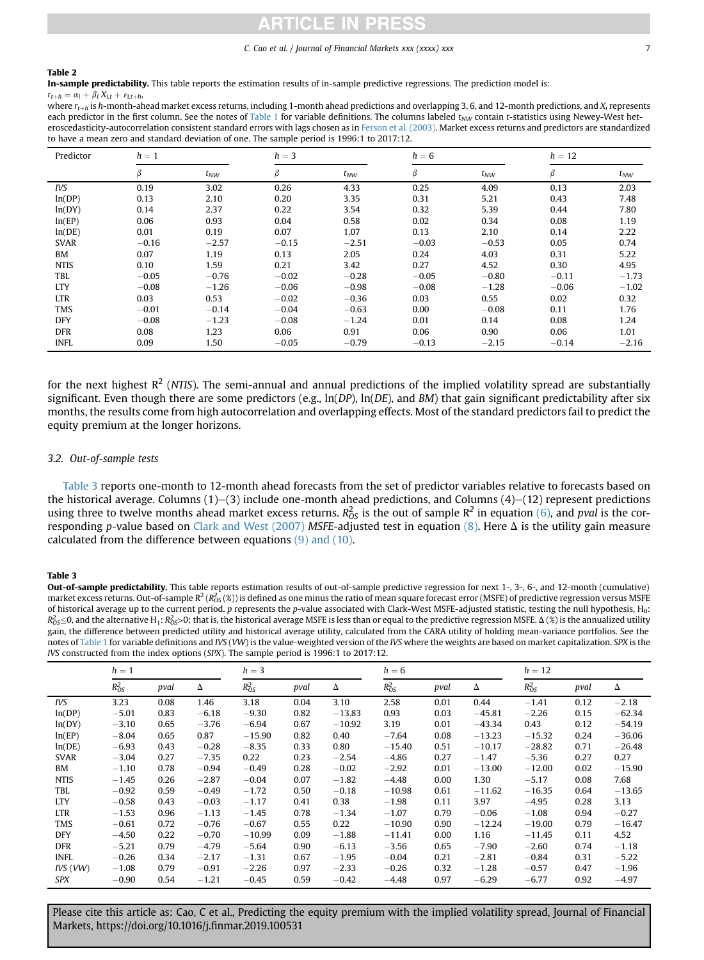#### <span id="page-6-0"></span>Table 2

In-sample predictability. This table reports the estimation results of in-sample predictive regressions. The prediction model is:

 $r_{t+h} = \alpha_i + \beta_i X_{i,t} + \varepsilon_{i,t+h}$ where  $r_{t-h}$  is h-month-ahead market excess returns, including 1-month ahead predictions and overlapping 3, 6, and 12-month predictions, and X<sub>i</sub> represents each predictor in the first column. See the notes of [Table 1](#page-4-0) for variable definitions. The columns labeled  $t_{NW}$  contain t-statistics using Newey-West heteroscedasticity-autocorrelation consistent standard errors with lags chosen as in [Ferson et al. \(2003\).](#page-16-0) Market excess returns and predictors are standardized to have a mean zero and standard deviation of one. The sample period is 1996:1 to 2017:12.

| Predictor   | $h=1$   |          | $h = 3$ |          |         |          | $h = 12$ |          |  |
|-------------|---------|----------|---------|----------|---------|----------|----------|----------|--|
|             | β       | $t_{NW}$ | $\beta$ | $t_{NW}$ | β       | $t_{NW}$ | β        | $t_{NW}$ |  |
| IVS         | 0.19    | 3.02     | 0.26    | 4.33     | 0.25    | 4.09     | 0.13     | 2.03     |  |
| ln(DP)      | 0.13    | 2.10     | 0.20    | 3.35     | 0.31    | 5.21     | 0.43     | 7.48     |  |
| ln(DY)      | 0.14    | 2.37     | 0.22    | 3.54     | 0.32    | 5.39     | 0.44     | 7.80     |  |
| ln(EP)      | 0.06    | 0.93     | 0.04    | 0.58     | 0.02    | 0.34     | 0.08     | 1.19     |  |
| ln(DE)      | 0.01    | 0.19     | 0.07    | 1.07     | 0.13    | 2.10     | 0.14     | 2.22     |  |
| <b>SVAR</b> | $-0.16$ | $-2.57$  | $-0.15$ | $-2.51$  | $-0.03$ | $-0.53$  | 0.05     | 0.74     |  |
| <b>BM</b>   | 0.07    | 1.19     | 0.13    | 2.05     | 0.24    | 4.03     | 0.31     | 5.22     |  |
| <b>NTIS</b> | 0.10    | 1.59     | 0.21    | 3.42     | 0.27    | 4.52     | 0.30     | 4.95     |  |
| TBL         | $-0.05$ | $-0.76$  | $-0.02$ | $-0.28$  | $-0.05$ | $-0.80$  | $-0.11$  | $-1.73$  |  |
| <b>LTY</b>  | $-0.08$ | $-1.26$  | $-0.06$ | $-0.98$  | $-0.08$ | $-1.28$  | $-0.06$  | $-1.02$  |  |
| <b>LTR</b>  | 0.03    | 0.53     | $-0.02$ | $-0.36$  | 0.03    | 0.55     | 0.02     | 0.32     |  |
| <b>TMS</b>  | $-0.01$ | $-0.14$  | $-0.04$ | $-0.63$  | 0.00    | $-0.08$  | 0.11     | 1.76     |  |
| <b>DFY</b>  | $-0.08$ | $-1.23$  | $-0.08$ | $-1.24$  | 0.01    | 0.14     | 0.08     | 1.24     |  |
| <b>DFR</b>  | 0.08    | 1.23     | 0.06    | 0.91     | 0.06    | 0.90     | 0.06     | 1.01     |  |
| <b>INFL</b> | 0.09    | 1.50     | $-0.05$ | $-0.79$  | $-0.13$ | $-2.15$  | $-0.14$  | $-2.16$  |  |

for the next highest  $R^2$  (NTIS). The semi-annual and annual predictions of the implied volatility spread are substantially significant. Even though there are some predictors (e.g.,  $\ln(DP)$ ,  $\ln(DE)$ , and BM) that gain significant predictability after six months, the results come from high autocorrelation and overlapping effects. Most of the standard predictors fail to predict the equity premium at the longer horizons.

# 3.2. Out-of-sample tests

Table 3 reports one-month to 12-month ahead forecasts from the set of predictor variables relative to forecasts based on the historical average. Columns  $(1)$ – $(3)$  include one-month ahead predictions, and Columns  $(4)$ – $(12)$  represent predictions using three to twelve months ahead market excess returns.  $R_{OS}^2$  is the out of sample  $R^2$  in equation [\(6\),](#page-5-0) and pval is the cor-responding p-value based on [Clark and West \(2007\)](#page-16-0) MSFE-adjusted test in equation [\(8\).](#page-5-0) Here  $\Delta$  is the utility gain measure calculated from the difference between equations [\(9\) and \(10\).](#page-5-0)

## Table 3

Out-of-sample predictability. This table reports estimation results of out-of-sample predictive regression for next 1-, 3-, 6-, and 12-month (cumulative) market excess returns. Out-of-sample R $^2$  (R $^2_{\rm OS}$  (%)) is defined as one minus the ratio of mean square forecast error (MSFE) of predictive regression versus MSFE of historical average up to the current period. p represents the p-value associated with Clark-West MSFE-adjusted statistic, testing the null hypothesis,  $H_0$ :  $R_{OS}^2 \le 0$ , and the alternative H<sub>1</sub>:  $R_{OS}^2 > 0$ ; that is, the historical average MSFE is less than or equal to the predictive regression MSFE.  $\Delta$  (%) is the annualized utility is the interestion of the difference be gain, the difference between predicted utility and historical average utility, calculated from the CARA utility of holding mean-variance portfolios. See the notes of [Table 1](#page-4-0) for variable definitions and IVS (VW) is the value-weighted version of the IVS where the weights are based on market capitalization. SPX is the IVS constructed from the index options (SPX). The sample period is 1996:1 to 2017:12.

|             | $h=1$      |      | $h=3$   |            |      | $h=6$    |            |      |          | $h = 12$   |      |          |
|-------------|------------|------|---------|------------|------|----------|------------|------|----------|------------|------|----------|
|             | $R_{OS}^2$ | pval | Δ       | $R_{OS}^2$ | pval | Δ        | $R_{OS}^2$ | pval | Δ        | $R_{OS}^2$ | pval | Δ        |
| IVS         | 3.23       | 0.08 | 1.46    | 3.18       | 0.04 | 3.10     | 2.58       | 0.01 | 0.44     | $-1.41$    | 0.12 | $-2.18$  |
| ln(DP)      | $-5.01$    | 0.83 | $-6.18$ | $-9.30$    | 0.82 | $-13.83$ | 0.93       | 0.03 | $-45.81$ | $-2.26$    | 0.15 | $-62.34$ |
| ln(DY)      | $-3.10$    | 0.65 | $-3.76$ | $-6.94$    | 0.67 | $-10.92$ | 3.19       | 0.01 | $-43.34$ | 0.43       | 0.12 | $-54.19$ |
| ln(EP)      | $-8.04$    | 0.65 | 0.87    | $-15.90$   | 0.82 | 0.40     | $-7.64$    | 0.08 | $-13.23$ | $-15.32$   | 0.24 | $-36.06$ |
| ln(DE)      | $-6.93$    | 0.43 | $-0.28$ | $-8.35$    | 0.33 | 0.80     | $-15.40$   | 0.51 | $-10.17$ | $-28.82$   | 0.71 | $-26.48$ |
| <b>SVAR</b> | $-3.04$    | 0.27 | $-7.35$ | 0.22       | 0.23 | $-2.54$  | $-4.86$    | 0.27 | $-1.47$  | $-5.36$    | 0.27 | 0.27     |
| <b>BM</b>   | $-1.10$    | 0.78 | $-0.94$ | $-0.49$    | 0.28 | $-0.02$  | $-2.92$    | 0.01 | $-13.00$ | $-12.00$   | 0.02 | $-15.90$ |
| <b>NTIS</b> | $-1.45$    | 0.26 | $-2.87$ | $-0.04$    | 0.07 | $-1.82$  | $-4.48$    | 0.00 | 1.30     | $-5.17$    | 0.08 | 7.68     |
| TBL         | $-0.92$    | 0.59 | $-0.49$ | $-1.72$    | 0.50 | $-0.18$  | $-10.98$   | 0.61 | $-11.62$ | $-16.35$   | 0.64 | $-13.65$ |
| <b>LTY</b>  | $-0.58$    | 0.43 | $-0.03$ | $-1.17$    | 0.41 | 0.38     | $-1.98$    | 0.11 | 3.97     | $-4.95$    | 0.28 | 3.13     |
| <b>LTR</b>  | $-1.53$    | 0.96 | $-1.13$ | $-1.45$    | 0.78 | $-1.34$  | $-1.07$    | 0.79 | $-0.06$  | $-1.08$    | 0.94 | $-0.27$  |
| <b>TMS</b>  | $-0.61$    | 0.72 | $-0.76$ | $-0.67$    | 0.55 | 0.22     | $-10.90$   | 0.90 | $-12.24$ | $-19.00$   | 0.79 | $-16.47$ |
| <b>DFY</b>  | $-4.50$    | 0.22 | $-0.70$ | $-10.99$   | 0.09 | $-1.88$  | $-11.41$   | 0.00 | 1.16     | $-11.45$   | 0.11 | 4.52     |
| <b>DFR</b>  | $-5.21$    | 0.79 | $-4.79$ | $-5.64$    | 0.90 | $-6.13$  | $-3.56$    | 0.65 | $-7.90$  | $-2.60$    | 0.74 | $-1.18$  |
| <b>INFL</b> | $-0.26$    | 0.34 | $-2.17$ | $-1.31$    | 0.67 | $-1.95$  | $-0.04$    | 0.21 | $-2.81$  | $-0.84$    | 0.31 | $-5.22$  |
| IVS (VW)    | $-1.08$    | 0.79 | $-0.91$ | $-2.26$    | 0.97 | $-2.33$  | $-0.26$    | 0.32 | $-1.28$  | $-0.57$    | 0.47 | $-1.96$  |
| <b>SPX</b>  | $-0.90$    | 0.54 | $-1.21$ | $-0.45$    | 0.59 | $-0.42$  | $-4.48$    | 0.97 | $-6.29$  | $-6.77$    | 0.92 | $-4.97$  |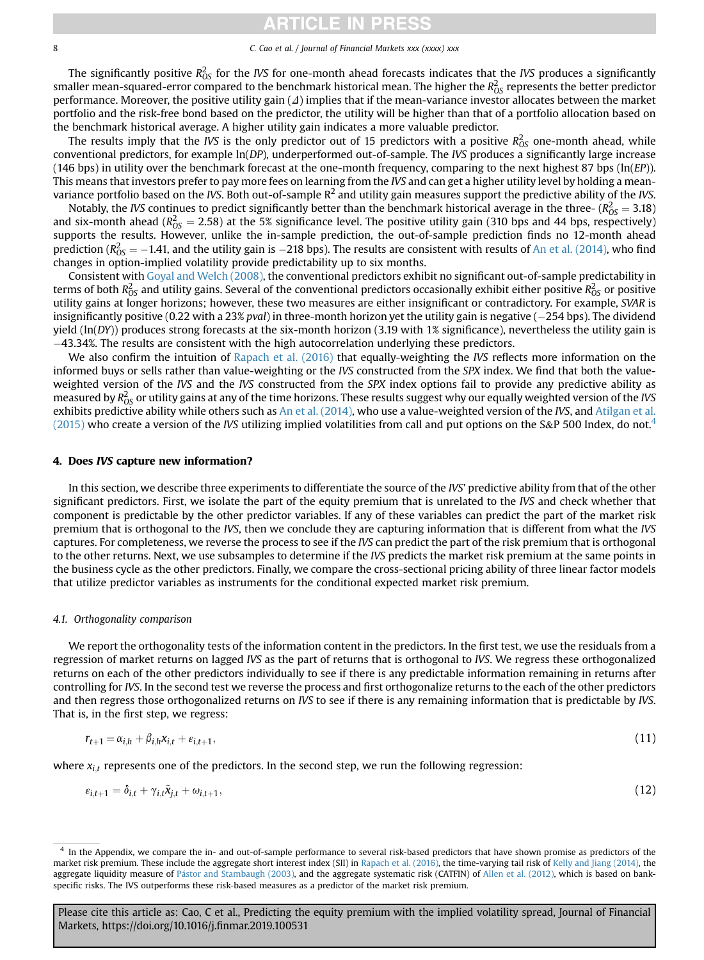# **CLE IN**

#### 8 C. Cao et al. / Journal of Financial Markets xxx (xxxx) xxx

<span id="page-7-0"></span>The significantly positive  $R_{OS}^2$  for the IVS for one-month ahead forecasts indicates that the IVS produces a significantly smaller mean-squared-error compared to the benchmark historical mean. The higher the  $R^2_{\rm OS}$  represents the better predictor performance. Moreover, the positive utility gain  $(\Delta)$  implies that if the mean-variance investor allocates between the market portfolio and the risk-free bond based on the predictor, the utility will be higher than that of a portfolio allocation based on the benchmark historical average. A higher utility gain indicates a more valuable predictor.

The results imply that the *IVS* is the only predictor out of 15 predictors with a positive  $R_{OS}^2$  one-month ahead, while conventional predictors, for example ln(DP), underperformed out-of-sample. The IVS produces a significantly large increase (146 bps) in utility over the benchmark forecast at the one-month frequency, comparing to the next highest 87 bps ( $ln(EP)$ ). This means that investors prefer to pay more fees on learning from the IVS and can get a higher utility level by holding a meanvariance portfolio based on the IVS. Both out-of-sample  $R^2$  and utility gain measures support the predictive ability of the IVS.

Notably, the IVS continues to predict significantly better than the benchmark historical average in the three-  $(R_{OS}^2 = 3.18)$ <br>I six-month abord  $(R_{2.5}^2 = 2.58)$  at the 5% significance level. The positive utility gain (3 and six-month ahead ( $R_{OS}^2 = 2.58$ ) at the 5% significance level. The positive utility gain (310 bps and 44 bps, respectively) and the settle However, unlike the in-sample prediction, the out-of-sample prediction finds n supports the results. However, unlike the in-sample prediction, the out-of-sample prediction finds no 12-month ahead prediction ( $R_{OS}^2 = -1.41$ , and the utility gain is  $-218$  bps). The results are consistent with results of [An et al. \(2014\)](#page-15-0), who find changes in option-implied volatility provide predictability up to six months changes in option-implied volatility provide predictability up to six months.

Consistent with [Goyal and Welch \(2008\)](#page-16-0), the conventional predictors exhibit no significant out-of-sample predictability in terms of both  $R_{OS}^2$  and utility gains. Several of the conventional predictors occasionally exhibit either positive  $R_{OS}^2$  or positive utility gains at longer horizons; however, these two measures are either insignificant or contradictory. For example, SVAR is insignificantly positive (0.22 with a 23% pval) in three-month horizon yet the utility gain is negative ( $-254$  bps). The dividend yield  $(ln(DY))$  produces strong forecasts at the six-month horizon (3.19 with 1% significance), nevertheless the utility gain is 43.34%. The results are consistent with the high autocorrelation underlying these predictors.

We also confirm the intuition of [Rapach et al. \(2016\)](#page-16-0) that equally-weighting the IVS reflects more information on the informed buys or sells rather than value-weighting or the IVS constructed from the SPX index. We find that both the valueweighted version of the IVS and the IVS constructed from the SPX index options fail to provide any predictive ability as measured by  $R_{OS}^2$  or utility gains at any of the time horizons. These results suggest why our equally weighted version of the IVS exhibits predictive ability while others such as [An et al. \(2014\)](#page-15-0), who use a value-weighted version of the IVS, and [Atilgan et al.](#page-15-0) [\(2015\)](#page-15-0) who create a version of the IVS utilizing implied volatilities from call and put options on the S&P 500 Index, do not.<sup>4</sup>

## 4. Does IVS capture new information?

In this section, we describe three experiments to differentiate the source of the IVS' predictive ability from that of the other significant predictors. First, we isolate the part of the equity premium that is unrelated to the IVS and check whether that component is predictable by the other predictor variables. If any of these variables can predict the part of the market risk premium that is orthogonal to the IVS, then we conclude they are capturing information that is different from what the IVS captures. For completeness, we reverse the process to see if the IVS can predict the part of the risk premium that is orthogonal to the other returns. Next, we use subsamples to determine if the IVS predicts the market risk premium at the same points in the business cycle as the other predictors. Finally, we compare the cross-sectional pricing ability of three linear factor models that utilize predictor variables as instruments for the conditional expected market risk premium.

## 4.1. Orthogonality comparison

We report the orthogonality tests of the information content in the predictors. In the first test, we use the residuals from a regression of market returns on lagged IVS as the part of returns that is orthogonal to IVS. We regress these orthogonalized returns on each of the other predictors individually to see if there is any predictable information remaining in returns after controlling for IVS. In the second test we reverse the process and first orthogonalize returns to the each of the other predictors and then regress those orthogonalized returns on IVS to see if there is any remaining information that is predictable by IVS. That is, in the first step, we regress:

$$
r_{t+1} = \alpha_{i,h} + \beta_{i,h} x_{i,t} + \varepsilon_{i,t+1},\tag{11}
$$

where  $x_i$ ; represents one of the predictors. In the second step, we run the following regression:

$$
\varepsilon_{i,t+1} = \delta_{i,t} + \gamma_{i,t}\tilde{x}_{j,t} + \omega_{i,t+1},\tag{12}
$$

<sup>&</sup>lt;sup>4</sup> In the Appendix, we compare the in- and out-of-sample performance to several risk-based predictors that have shown promise as predictors of the market risk premium. These include the aggregate short interest index (SII) in [Rapach et al. \(2016\)](#page-16-0), the time-varying tail risk of [Kelly and Jiang \(2014\)](#page-16-0), the aggregate liquidity measure of [P](#page-16-0)á[stor and Stambaugh \(2003\)](#page-16-0), and the aggregate systematic risk (CATFIN) of [Allen et al. \(2012\),](#page-15-0) which is based on bankspecific risks. The IVS outperforms these risk-based measures as a predictor of the market risk premium.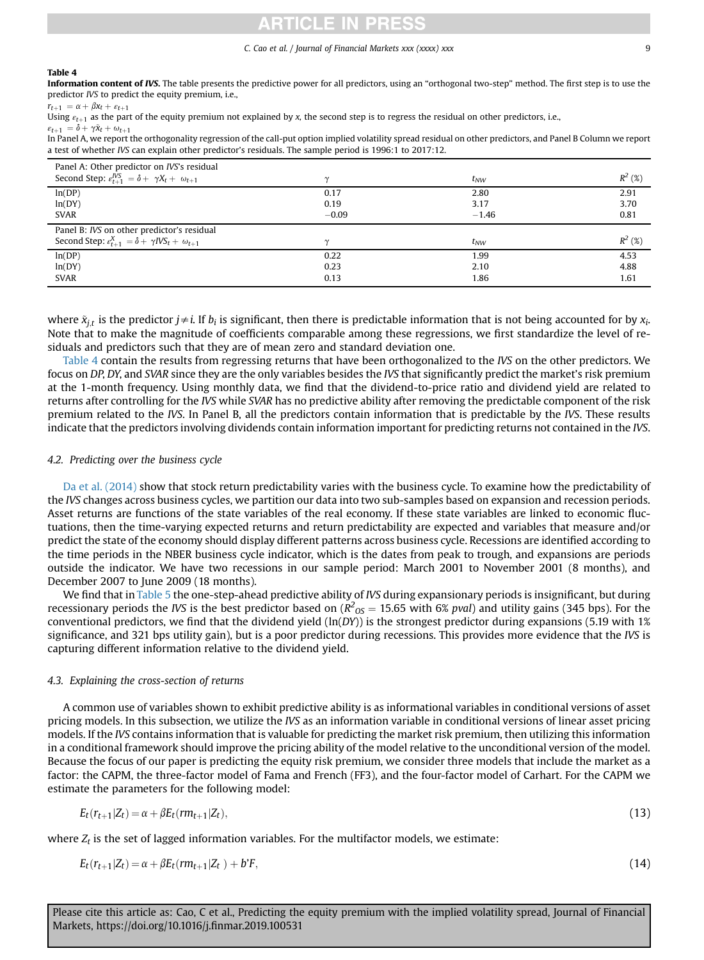# ICLE IN PRI

#### C. Cao et al. / Journal of Financial Markets xxx (xxxx) xxx  $\sim$  9

#### Table 4

Information content of IVS. The table presents the predictive power for all predictors, using an "orthogonal two-step" method. The first step is to use the predictor IVS to predict the equity premium, i.e.,

 $r_{t+1} = \alpha + \beta x_t + \varepsilon_{t+1}$ 

Using  $\varepsilon_{t+1}$  as the part of the equity premium not explained by x, the second step is to regress the residual on other predictors, i.e.,  $\varepsilon_{t+1} = \delta + \gamma \tilde{x}_t + \omega_{t+1}$ 

In Panel A, we report the orthogonality regression of the call-put option implied volatility spread residual on other predictors, and Panel B Column we report a test of whether IVS can explain other predictor's residuals. The sample period is 1996:1 to 2017:12.

| Panel A: Other predictor on IVS's residual                                  |         |          |           |
|-----------------------------------------------------------------------------|---------|----------|-----------|
| Second Step: $\varepsilon_{t+1}^{IVS} = \delta + \gamma X_t + \omega_{t+1}$ | $\sim$  | $t_{NW}$ | $R^2$ (%) |
| ln(DP)                                                                      | 0.17    | 2.80     | 2.91      |
| ln(DY)                                                                      | 0.19    | 3.17     | 3.70      |
| <b>SVAR</b>                                                                 | $-0.09$ | $-1.46$  | 0.81      |
| Panel B: IVS on other predictor's residual                                  |         |          |           |
| Second Step: $\varepsilon_{t+1}^X = \delta + \gamma I V S_t + \omega_{t+1}$ | $\sim$  | $t_{NW}$ | $R^2$ (%) |
| ln(DP)                                                                      | 0.22    | 1.99     | 4.53      |
| ln(DY)                                                                      | 0.23    | 2.10     | 4.88      |
| <b>SVAR</b>                                                                 | 0.13    | 1.86     | 1.61      |

where  $\tilde{x}_{i}$  is the predictor  $j\neq i$ . If  $b_i$  is significant, then there is predictable information that is not being accounted for by  $x_i$ . Note that to make the magnitude of coefficients comparable among these regressions, we first standardize the level of residuals and predictors such that they are of mean zero and standard deviation one.

Table 4 contain the results from regressing returns that have been orthogonalized to the IVS on the other predictors. We focus on DP, DY, and SVAR since they are the only variables besides the IVS that significantly predict the market's risk premium at the 1-month frequency. Using monthly data, we find that the dividend-to-price ratio and dividend yield are related to returns after controlling for the IVS while SVAR has no predictive ability after removing the predictable component of the risk premium related to the IVS. In Panel B, all the predictors contain information that is predictable by the IVS. These results indicate that the predictors involving dividends contain information important for predicting returns not contained in the IVS.

# 4.2. Predicting over the business cycle

[Da et al. \(2014\)](#page-16-0) show that stock return predictability varies with the business cycle. To examine how the predictability of the IVS changes across business cycles, we partition our data into two sub-samples based on expansion and recession periods. Asset returns are functions of the state variables of the real economy. If these state variables are linked to economic fluctuations, then the time-varying expected returns and return predictability are expected and variables that measure and/or predict the state of the economy should display different patterns across business cycle. Recessions are identified according to the time periods in the NBER business cycle indicator, which is the dates from peak to trough, and expansions are periods outside the indicator. We have two recessions in our sample period: March 2001 to November 2001 (8 months), and December 2007 to June 2009 (18 months).

We find that in [Table 5](#page-9-0) the one-step-ahead predictive ability of IVS during expansionary periods is insignificant, but during recessionary periods the *IVS* is the best predictor based on  $(R^2_{OS} = 15.65$  with 6% *pval*) and utility gains (345 bps). For the<br>conventional predictors, we find that the dividend vield (lp(*DV*)) is the strongest predi conventional predictors, we find that the dividend yield  $(ln(DY))$  is the strongest predictor during expansions (5.19 with 1%) significance, and 321 bps utility gain), but is a poor predictor during recessions. This provides more evidence that the IVS is capturing different information relative to the dividend yield.

# 4.3. Explaining the cross-section of returns

A common use of variables shown to exhibit predictive ability is as informational variables in conditional versions of asset pricing models. In this subsection, we utilize the IVS as an information variable in conditional versions of linear asset pricing models. If the IVS contains information that is valuable for predicting the market risk premium, then utilizing this information in a conditional framework should improve the pricing ability of the model relative to the unconditional version of the model. Because the focus of our paper is predicting the equity risk premium, we consider three models that include the market as a factor: the CAPM, the three-factor model of Fama and French (FF3), and the four-factor model of Carhart. For the CAPM we estimate the parameters for the following model:

$$
E_t(r_{t+1}|Z_t) = \alpha + \beta E_t(r m_{t+1}|Z_t),\tag{13}
$$

where  $Z_t$  is the set of lagged information variables. For the multifactor models, we estimate:

$$
E_t(r_{t+1}|Z_t) = \alpha + \beta E_t(r m_{t+1}|Z_t) + b^r F,
$$
\n(14)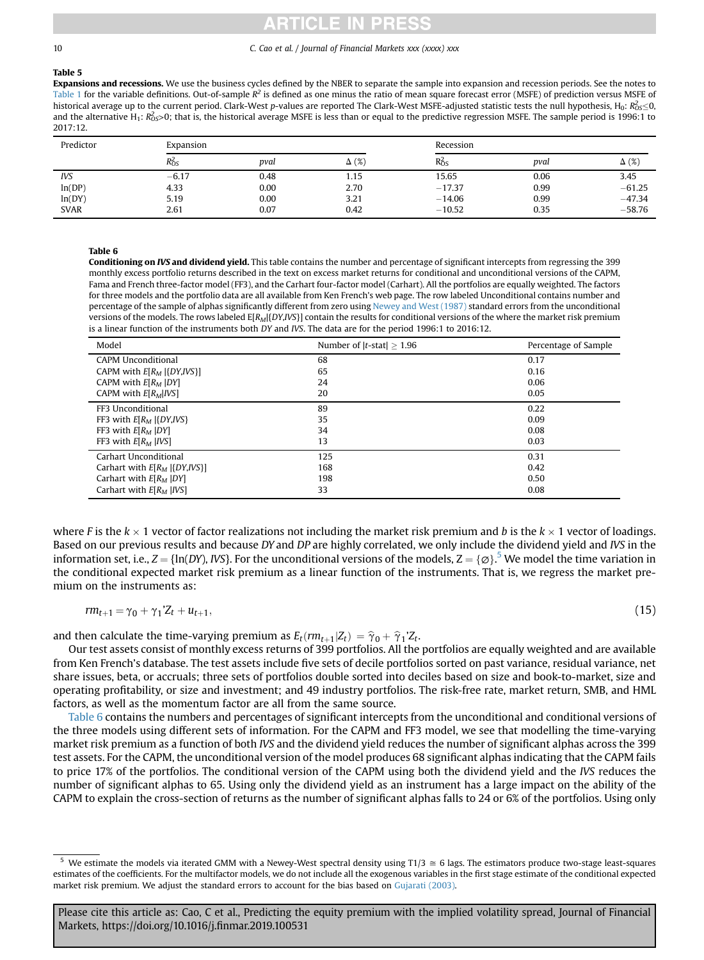#### <span id="page-9-0"></span>Table 5

Expansions and recessions. We use the business cycles defined by the NBER to separate the sample into expansion and recession periods. See the notes to [Table 1](#page-4-0) for the variable definitions. Out-of-sample  $R^2$  is defined as one minus the ratio of mean square forecast error (MSFE) of prediction versus MSFE of historical average up to the current period. Clark-West p-values are reported The Clark-West MSFE-adjusted statistic tests the null hypothesis, H<sub>0</sub>: R<sub>0S</sub><0, The Clark-West p-values are reported The Clark-West MSFE-adjus and the alternative H<sub>1</sub>: R<sub>OS</sub>>0; that is, the historical average MSFE is less than or equal to the predictive regression MSFE. The sample period is 1996:1 to 2017:12.

| Predictor   | Expansion  |      |              | Recession  |      |              |
|-------------|------------|------|--------------|------------|------|--------------|
|             | $R_{OS}^2$ | pval | $\Delta$ (%) | $R_{OS}^2$ | pval | $\Delta$ (%) |
| <b>IVS</b>  | $-6.17$    | 0.48 | 1.15         | 15.65      | 0.06 | 3.45         |
| ln(DP)      | 4.33       | 0.00 | 2.70         | $-17.37$   | 0.99 | $-61.25$     |
| ln(DY)      | 5.19       | 0.00 | 3.21         | $-14.06$   | 0.99 | $-47.34$     |
| <b>SVAR</b> | 2.61       | 0.07 | 0.42         | $-10.52$   | 0.35 | $-58.76$     |

### Table 6

Conditioning on IVS and dividend yield. This table contains the number and percentage of significant intercepts from regressing the 399 monthly excess portfolio returns described in the text on excess market returns for conditional and unconditional versions of the CAPM, Fama and French three-factor model (FF3), and the Carhart four-factor model (Carhart). All the portfolios are equally weighted. The factors for three models and the portfolio data are all available from Ken French's web page. The row labeled Unconditional contains number and percentage of the sample of alphas significantly different from zero using [Newey and West \(1987\)](#page-16-0) standard errors from the unconditional versions of the models. The rows labeled E[R<sub>M</sub>[{DY,IVS}] contain the results for conditional versions of the where the market risk premium is a linear function of the instruments both DY and IVS. The data are for the period 1996:1 to 2016:12.

| Model                              | Number of $ t\text{-stat}  > 1.96$ | Percentage of Sample |
|------------------------------------|------------------------------------|----------------------|
| <b>CAPM Unconditional</b>          | 68                                 | 0.17                 |
| CAPM with $E[R_M   {DY,IVS} ]$     | 65                                 | 0.16                 |
| CAPM with $E[R_M   DY]$            | 24                                 | 0.06                 |
| CAPM with $E[R_M IVS]$             | 20                                 | 0.05                 |
| FF3 Unconditional                  | 89                                 | 0.22                 |
| FF3 with $E[R_M   {DY,IVS}$        | 35                                 | 0.09                 |
| FF3 with $E[R_M   DY]$             | 34                                 | 0.08                 |
| FF3 with $E[R_M   IVS]$            | 13                                 | 0.03                 |
| Carhart Unconditional              | 125                                | 0.31                 |
| Carhart with $E[R_M   {DY, IVS} ]$ | 168                                | 0.42                 |
| Carhart with $E[R_M   DY]$         | 198                                | 0.50                 |
| Carhart with $E[R_M   IVS]$        | 33                                 | 0.08                 |

where F is the  $k \times 1$  vector of factor realizations not including the market risk premium and b is the  $k \times 1$  vector of loadings. Based on our previous results and because DY and DP are highly correlated, we only include the dividend yield and IVS in the information set, i.e.,  $Z = \{\ln(DY), \text{IVS}\}\$ . For the unconditional versions of the models,  $Z = \{\emptyset\}^5$  We model the time variation in the conditional expected market risk premium as a linear function of the instruments. Tha the conditional expected market risk premium as a linear function of the instruments. That is, we regress the market premium on the instruments as:

$$
rm_{t+1} = \gamma_0 + \gamma_1' Z_t + u_{t+1}, \tag{15}
$$

and then calculate the time-varying premium as  $E_t(r m_{t+1} | Z_t) = \hat{\gamma}_0 + \hat{\gamma}_1' Z_t$ .

Our test assets consist of monthly excess returns of 399 portfolios. All the portfolios are equally weighted and are available from Ken French's database. The test assets include five sets of decile portfolios sorted on past variance, residual variance, net share issues, beta, or accruals; three sets of portfolios double sorted into deciles based on size and book-to-market, size and operating profitability, or size and investment; and 49 industry portfolios. The risk-free rate, market return, SMB, and HML factors, as well as the momentum factor are all from the same source.

Table 6 contains the numbers and percentages of significant intercepts from the unconditional and conditional versions of the three models using different sets of information. For the CAPM and FF3 model, we see that modelling the time-varying market risk premium as a function of both IVS and the dividend yield reduces the number of significant alphas across the 399 test assets. For the CAPM, the unconditional version of the model produces 68 significant alphas indicating that the CAPM fails to price 17% of the portfolios. The conditional version of the CAPM using both the dividend yield and the IVS reduces the number of significant alphas to 65. Using only the dividend yield as an instrument has a large impact on the ability of the CAPM to explain the cross-section of returns as the number of significant alphas falls to 24 or 6% of the portfolios. Using only

We estimate the models via iterated GMM with a Newey-West spectral density using T1/3  $\cong$  6 lags. The estimators produce two-stage least-squares estimates of the coefficients. For the multifactor models, we do not include all the exogenous variables in the first stage estimate of the conditional expected market risk premium. We adjust the standard errors to account for the bias based on [Gujarati \(2003\).](#page-16-0)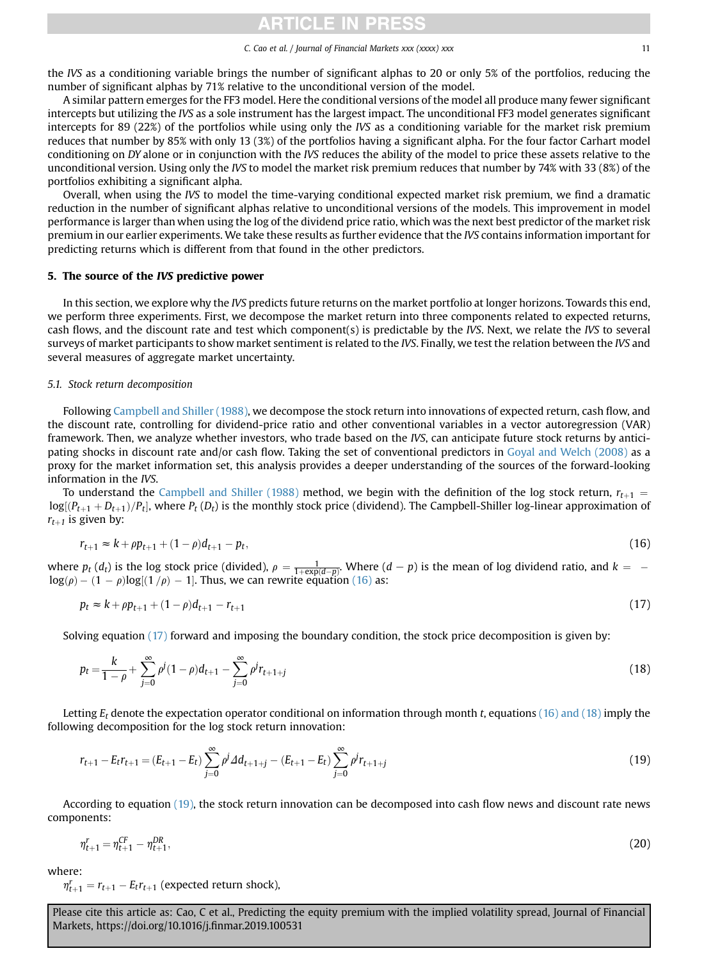# ICLE IN PRES

#### C. Cao et al. / Journal of Financial Markets xxx (xxxx) xxx 11

<span id="page-10-0"></span>the IVS as a conditioning variable brings the number of significant alphas to 20 or only 5% of the portfolios, reducing the number of significant alphas by 71% relative to the unconditional version of the model.

A similar pattern emerges for the FF3 model. Here the conditional versions of the model all produce many fewer significant intercepts but utilizing the IVS as a sole instrument has the largest impact. The unconditional FF3 model generates significant intercepts for 89 (22%) of the portfolios while using only the IVS as a conditioning variable for the market risk premium reduces that number by 85% with only 13 (3%) of the portfolios having a significant alpha. For the four factor Carhart model conditioning on DY alone or in conjunction with the IVS reduces the ability of the model to price these assets relative to the unconditional version. Using only the IVS to model the market risk premium reduces that number by 74% with 33 (8%) of the portfolios exhibiting a significant alpha.

Overall, when using the IVS to model the time-varying conditional expected market risk premium, we find a dramatic reduction in the number of significant alphas relative to unconditional versions of the models. This improvement in model performance is larger than when using the log of the dividend price ratio, which was the next best predictor of the market risk premium in our earlier experiments. We take these results as further evidence that the IVS contains information important for predicting returns which is different from that found in the other predictors.

# 5. The source of the IVS predictive power

In this section, we explore why the IVS predicts future returns on the market portfolio at longer horizons. Towards this end, we perform three experiments. First, we decompose the market return into three components related to expected returns, cash flows, and the discount rate and test which component(s) is predictable by the IVS. Next, we relate the IVS to several surveys of market participants to show market sentiment is related to the IVS. Finally, we test the relation between the IVS and several measures of aggregate market uncertainty.

# 5.1. Stock return decomposition

Following [Campbell and Shiller \(1988\),](#page-16-0) we decompose the stock return into innovations of expected return, cash flow, and the discount rate, controlling for dividend-price ratio and other conventional variables in a vector autoregression (VAR) framework. Then, we analyze whether investors, who trade based on the IVS, can anticipate future stock returns by anticipating shocks in discount rate and/or cash flow. Taking the set of conventional predictors in [Goyal and Welch \(2008\)](#page-16-0) as a proxy for the market information set, this analysis provides a deeper understanding of the sources of the forward-looking information in the IVS.

To understand the [Campbell and Shiller \(1988\)](#page-16-0) method, we begin with the definition of the log stock return,  $r_{t+1}$  =  $log[(P_{t+1}+D_{t+1})/P_t]$ , where  $P_t(D_t)$  is the monthly stock price (dividend). The Campbell-Shiller log-linear approximation of  $r_{t+1}$  is given by:

$$
r_{t+1} \approx k + \rho p_{t+1} + (1 - \rho)d_{t+1} - p_t,\tag{16}
$$

where  $p_t(d_t)$  is the log stock price (divided),  $\rho = \frac{1}{1 + \exp(d-p)}$ . Where  $(d-p)$  is the mean of log dividend ratio, and  $k = -\log(a)$ . (1)  $\log[(1/a) - 1]$ . Thus we can rewrite equation (16) as: where  $p_f(a_f)$  is the log stock price (arbitrary,  $p = 1 + \exp(d-p)$ , where  $\cos(\rho) - (1 - \rho) \log[(1/\rho) - 1]$ . Thus, we can rewrite equation (16) as:

$$
p_t \approx k + \rho p_{t+1} + (1 - \rho)d_{t+1} - r_{t+1} \tag{17}
$$

Solving equation (17) forward and imposing the boundary condition, the stock price decomposition is given by:

$$
p_t = \frac{k}{1 - \rho} + \sum_{j=0}^{\infty} \rho^j (1 - \rho) d_{t+1} - \sum_{j=0}^{\infty} \rho^j r_{t+1+j}
$$
\n(18)

Letting  $E_t$  denote the expectation operator conditional on information through month t, equations (16) and (18) imply the following decomposition for the log stock return innovation:

$$
r_{t+1} - E_t r_{t+1} = (E_{t+1} - E_t) \sum_{j=0}^{\infty} \rho^j \Delta d_{t+1+j} - (E_{t+1} - E_t) \sum_{j=0}^{\infty} \rho^j r_{t+1+j}
$$
(19)

According to equation (19), the stock return innovation can be decomposed into cash flow news and discount rate news components:

$$
\eta_{t+1}^r = \eta_{t+1}^{CF} - \eta_{t+1}^{DR},\tag{20}
$$

where:

 $\eta_{t+1}^r = r_{t+1} - E_t r_{t+1}$  (expected return shock),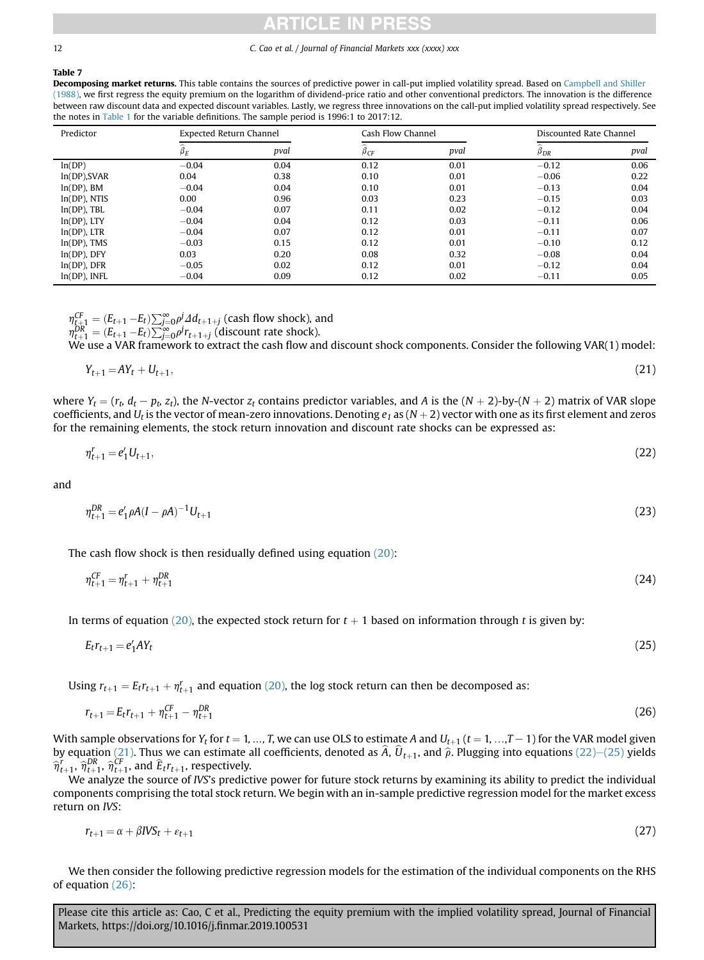#### Table 7

Decomposing market returns. This table contains the sources of predictive power in call-put implied volatility spread. Based on [Campbell and Shiller](#page-16-0) [\(1988\)](#page-16-0), we first regress the equity premium on the logarithm of dividend-price ratio and other conventional predictors. The innovation is the difference between raw discount data and expected discount variables. Lastly, we regress three innovations on the call-put implied volatility spread respectively. See the notes in [Table 1](#page-4-0) for the variable definitions. The sample period is 1996:1 to 2017:12.

| Predictor        | <b>Expected Return Channel</b> |      | Cash Flow Channel    |      | Discounted Rate Channel |      |
|------------------|--------------------------------|------|----------------------|------|-------------------------|------|
|                  | ~<br>$\beta_E$                 | pval | $\sim$<br>$\beta$ CF | pval | $\beta_{DR}$            | pval |
| ln(DP)           | $-0.04$                        | 0.04 | 0.12                 | 0.01 | $-0.12$                 | 0.06 |
| $ln(DP)$ , SVAR  | 0.04                           | 0.38 | 0.10                 | 0.01 | $-0.06$                 | 0.22 |
| $ln(DP)$ , BM    | $-0.04$                        | 0.04 | 0.10                 | 0.01 | $-0.13$                 | 0.04 |
| $ln(DP)$ , NTIS  | 0.00                           | 0.96 | 0.03                 | 0.23 | $-0.15$                 | 0.03 |
| $ln(DP)$ , TBL   | $-0.04$                        | 0.07 | 0.11                 | 0.02 | $-0.12$                 | 0.04 |
| $ln(DP)$ , LTY   | $-0.04$                        | 0.04 | 0.12                 | 0.03 | $-0.11$                 | 0.06 |
| $ln(DP)$ , LTR   | $-0.04$                        | 0.07 | 0.12                 | 0.01 | $-0.11$                 | 0.07 |
| $ln(DP)$ , TMS   | $-0.03$                        | 0.15 | 0.12                 | 0.01 | $-0.10$                 | 0.12 |
| $ln(DP)$ , $DFY$ | 0.03                           | 0.20 | 0.08                 | 0.32 | $-0.08$                 | 0.04 |
| $ln(DP)$ , DFR   | $-0.05$                        | 0.02 | 0.12                 | 0.01 | $-0.12$                 | 0.04 |
| $ln(DP)$ , INFL  | $-0.04$                        | 0.09 | 0.12                 | 0.02 | $-0.11$                 | 0.05 |

 $\eta_{t+1}^{CF} = (E_{t+1} - E_t) \sum_{j=0}^{\infty} \rho^j 2d_{t+1+j}$  (cash flow shock), and<br> $\eta_{t+1}^{DR} = (E_{t+1} - E_t) \sum_{j=0}^{\infty} \rho^j r_{t+1+j}$  (discount rate shock).<br>We use a VAR framework to extract the cash flow and o

We use a VAR framework to extract the cash flow and discount shock components. Consider the following VAR(1) model:

$$
Y_{t+1} = A Y_t + U_{t+1}, \tag{21}
$$

where  $Y_t = (r_t, d_t - p_t, z_t)$ , the N-vector  $z_t$  contains predictor variables, and A is the  $(N + 2)$ -by- $(N + 2)$  matrix of VAR slope coefficients, and  $U_t$  is the vector of mean-zero innovations. Denoting  $e_1$  as  $(N + 2)$  vector with one as its first element and zeros for the remaining elements, the stock return innovation and discount rate shocks can be expressed as:

$$
\eta_{t+1}^r = e_1' U_{t+1},\tag{22}
$$

and

$$
\eta_{t+1}^{DR} = e_1' \rho A (I - \rho A)^{-1} U_{t+1} \tag{23}
$$

The cash flow shock is then residually defined using equation [\(20\):](#page-10-0)

$$
\eta_{t+1}^{CF} = \eta_{t+1}^r + \eta_{t+1}^{DR} \tag{24}
$$

In terms of equation [\(20\)](#page-10-0), the expected stock return for  $t + 1$  based on information through t is given by:

$$
E_t r_{t+1} = e'_1 A Y_t \tag{25}
$$

Using  $r_{t+1} = E_t r_{t+1} + \eta_{t+1}^r$  and equation [\(20\)](#page-10-0), the log stock return can then be decomposed as:

$$
r_{t+1} = E_t r_{t+1} + \eta_{t+1}^{CF} - \eta_{t+1}^{DR} \tag{26}
$$

With sample observations for  $Y_t$  for  $t = 1, ..., T$ , we can use OLS to estimate A and  $U_{t+1}$  ( $t = 1, ..., T-1$ ) for the VAR model given by equation (21). Thus we can estimate all coefficients, denoted as  $\hat{A}$ ,  $\hat{U}_{t+1}$ , and  $\hat{\rho}$ . Plugging into equations (22)–(25) yields  $\hat{\sigma}^r = \hat{\sigma}^{DR}$  and  $\hat{\epsilon}$  representively.  $\hat{\eta}_{t+1}^{\vec{r}}, \hat{\eta}_{t+1}^{DR}, \hat{\eta}_{t+1}^{CF},$  and  $\hat{E}_t r_{t+1}$ , respectively.<br>We analyze the source of US's predict

We analyze the source of IVS's predictive power for future stock returns by examining its ability to predict the individual components comprising the total stock return. We begin with an in-sample predictive regression model for the market excess return on IVS:

$$
r_{t+1} = \alpha + \beta I V S_t + \varepsilon_{t+1} \tag{27}
$$

We then consider the following predictive regression models for the estimation of the individual components on the RHS of equation (26):

<span id="page-11-0"></span>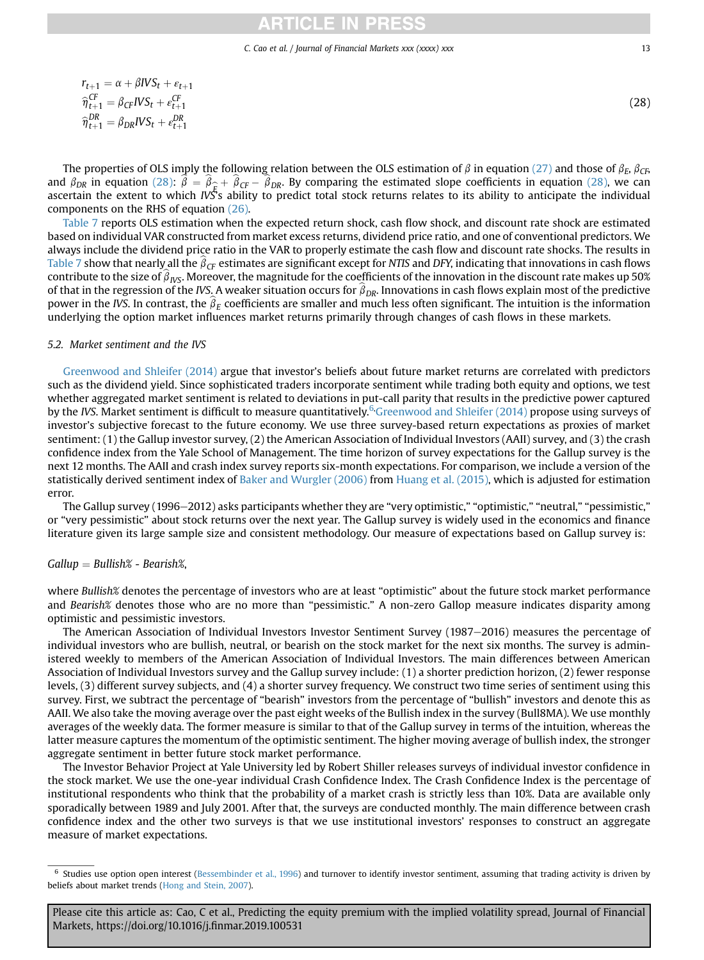# **TICLE IN PRE**

#### C. Cao et al. / Journal of Financial Markets xxx (xxxx) xxx 13

$$
r_{t+1} = \alpha + \beta IVS_t + \varepsilon_{t+1}
$$

$$
\widehat{\eta}_{t+1}^{CF} = \beta_{CF}IVS_t + \varepsilon_{t+1}^{CF}
$$

$$
\widehat{\eta}_{t+1}^{DR} = \beta_{DR}IVS_t + \varepsilon_{t+1}^{DR}
$$

The properties of OLS imply the following relation between the OLS estimation of  $\beta$  in equation [\(27\)](#page-11-0) and those of  $\beta_E$ ,  $\beta_{CE}$ and  $\beta_{DR}$  in equation (28):  $\beta = \beta_{\hat{E}} + \beta_{CF} - \beta_{DR}$ . By comparing the estimated slope coefficients in equation (28), we can ascertain the extent to which IVS's ability to predict total stock returns relates to its ability to anticipate the individual components on the RHS of equation [\(26\).](#page-11-0)

[Table 7](#page-11-0) reports OLS estimation when the expected return shock, cash flow shock, and discount rate shock are estimated based on individual VAR constructed from market excess returns, dividend price ratio, and one of conventional predictors. We always include the dividend price ratio in the VAR to properly estimate the cash flow and discount rate shocks. The results in [Table 7](#page-11-0) show that nearly all the  $\beta_{CF}$  estimates are significant except for NTIS and DFY, indicating that innovations in cash flows contribute to the size of  $\beta_{\text{IVS}}$ . Moreover, the magnitude for the coefficients of the innovation in the discount rate makes up 50% of that in the regression of the IVS. A weaker situation occurs for  $\beta_{DR}$ . Innovations in cash flows explain most of the predictive power in the IVS. In contrast, the  $\beta_F$  coefficients are smaller and much less often significant. The intuition is the information underlying the option market influences market returns primarily through changes of cash flows in these markets.

# 5.2. Market sentiment and the IVS

[Greenwood and Shleifer \(2014\)](#page-16-0) argue that investor's beliefs about future market returns are correlated with predictors such as the dividend yield. Since sophisticated traders incorporate sentiment while trading both equity and options, we test whether aggregated market sentiment is related to deviations in put-call parity that results in the predictive power captured by the IVS. Market sentiment is difficult to measure quantitatively.<sup>6</sup> [Greenwood and Shleifer \(2014\)](#page-16-0) propose using surveys of investor's subjective forecast to the future economy. We use three survey-based return expectations as proxies of market sentiment: (1) the Gallup investor survey, (2) the American Association of Individual Investors (AAII) survey, and (3) the crash confidence index from the Yale School of Management. The time horizon of survey expectations for the Gallup survey is the next 12 months. The AAII and crash index survey reports six-month expectations. For comparison, we include a version of the statistically derived sentiment index of [Baker and Wurgler \(2006\)](#page-15-0) from [Huang et al. \(2015\),](#page-16-0) which is adjusted for estimation error.

The Gallup survey (1996-2012) asks participants whether they are "very optimistic," "optimistic," "neutral," "pessimistic," or "very pessimistic" about stock returns over the next year. The Gallup survey is widely used in the economics and finance literature given its large sample size and consistent methodology. Our measure of expectations based on Gallup survey is:

# $Gallup = Bullish% - Bearish%$ ,

where Bullish% denotes the percentage of investors who are at least "optimistic" about the future stock market performance and Bearish% denotes those who are no more than "pessimistic." A non-zero Gallop measure indicates disparity among optimistic and pessimistic investors.

The American Association of Individual Investors Investor Sentiment Survey (1987–2016) measures the percentage of individual investors who are bullish, neutral, or bearish on the stock market for the next six months. The survey is administered weekly to members of the American Association of Individual Investors. The main differences between American Association of Individual Investors survey and the Gallup survey include: (1) a shorter prediction horizon, (2) fewer response levels, (3) different survey subjects, and (4) a shorter survey frequency. We construct two time series of sentiment using this survey. First, we subtract the percentage of "bearish" investors from the percentage of "bullish" investors and denote this as AAII. We also take the moving average over the past eight weeks of the Bullish index in the survey (Bull8MA). We use monthly averages of the weekly data. The former measure is similar to that of the Gallup survey in terms of the intuition, whereas the latter measure captures the momentum of the optimistic sentiment. The higher moving average of bullish index, the stronger aggregate sentiment in better future stock market performance.

The Investor Behavior Project at Yale University led by Robert Shiller releases surveys of individual investor confidence in the stock market. We use the one-year individual Crash Confidence Index. The Crash Confidence Index is the percentage of institutional respondents who think that the probability of a market crash is strictly less than 10%. Data are available only sporadically between 1989 and July 2001. After that, the surveys are conducted monthly. The main difference between crash confidence index and the other two surveys is that we use institutional investors' responses to construct an aggregate measure of market expectations.

Please cite this article as: Cao, C et al., Predicting the equity premium with the implied volatility spread, Journal of Financial Markets, https://doi.org/10.1016/j.finmar.2019.100531

(28)

<sup>6</sup> Studies use option open interest ([Bessembinder et al., 1996](#page-15-0)) and turnover to identify investor sentiment, assuming that trading activity is driven by beliefs about market trends ([Hong and Stein, 2007\)](#page-16-0).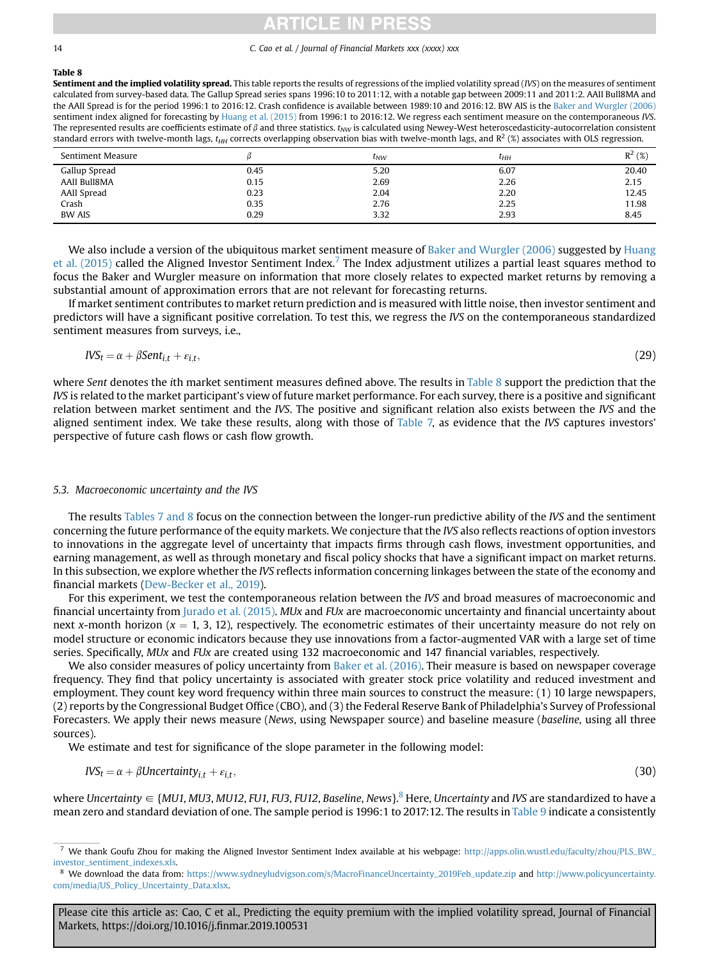# CLE IN PRE

#### 14 C. Cao et al. / Journal of Financial Markets xxx (xxxx) xxx

## Table 8

Sentiment and the implied volatility spread. This table reports the results of regressions of the implied volatility spread (IVS) on the measures of sentiment calculated from survey-based data. The Gallup Spread series spans 1996:10 to 2011:12, with a notable gap between 2009:11 and 2011:2. AAII Bull8MA and the AAII Spread is for the period 1996:1 to 2016:12. Crash confidence is available between 1989:10 and 2016:12. BW AIS is the [Baker and Wurgler \(2006\)](#page-15-0) sentiment index aligned for forecasting by [Huang et al. \(2015\)](#page-16-0) from 1996:1 to 2016:12. We regress each sentiment measure on the contemporaneous IVS. The represented results are coefficients estimate of  $\beta$  and three statistics.  $t_{NW}$  is calculated using Newey-West heteroscedasticity-autocorrelation consistent standard errors with twelve-month lags,  $t_{HH}$  corrects overlapping observation bias with twelve-month lags, and  $R^2$  (%) associates with OLS regression.

| Sentiment Measure |      | $t_{NW}$ | $\tau_{HH}$ | $R^2$ (%) |
|-------------------|------|----------|-------------|-----------|
| Gallup Spread     | 0.45 | 5.20     | 6.07        | 20.40     |
| AAII Bull8MA      | 0.15 | 2.69     | 2.26        | 2.15      |
| AAII Spread       | 0.23 | 2.04     | 2.20        | 12.45     |
| Crash             | 0.35 | 2.76     | 2.25        | 11.98     |
| <b>BW AIS</b>     | 0.29 | 3.32     | 2.93        | 8.45      |

We also include a version of the ubiquitous market sentiment measure of [Baker and Wurgler \(2006\)](#page-15-0) suggested by [Huang](#page-16-0) [et al. \(2015\)](#page-16-0) called the Aligned Investor Sentiment Index.<sup>7</sup> The Index adjustment utilizes a partial least squares method to focus the Baker and Wurgler measure on information that more closely relates to expected market returns by removing a substantial amount of approximation errors that are not relevant for forecasting returns.

If market sentiment contributes to market return prediction and is measured with little noise, then investor sentiment and predictors will have a significant positive correlation. To test this, we regress the IVS on the contemporaneous standardized sentiment measures from surveys, i.e.,

$$
IVS_t = \alpha + \beta Sent_{i,t} + \varepsilon_{i,t},\tag{29}
$$

where Sent denotes the ith market sentiment measures defined above. The results in Table 8 support the prediction that the IVS is related to the market participant's view of future market performance. For each survey, there is a positive and significant relation between market sentiment and the IVS. The positive and significant relation also exists between the IVS and the aligned sentiment index. We take these results, along with those of [Table 7,](#page-11-0) as evidence that the IVS captures investors' perspective of future cash flows or cash flow growth.

# 5.3. Macroeconomic uncertainty and the IVS

The results [Tables 7 and 8](#page-11-0) focus on the connection between the longer-run predictive ability of the IVS and the sentiment concerning the future performance of the equity markets. We conjecture that the IVS also reflects reactions of option investors to innovations in the aggregate level of uncertainty that impacts firms through cash flows, investment opportunities, and earning management, as well as through monetary and fiscal policy shocks that have a significant impact on market returns. In this subsection, we explore whether the IVS reflects information concerning linkages between the state of the economy and financial markets ([Dew-Becker et al., 2019\)](#page-16-0).

For this experiment, we test the contemporaneous relation between the IVS and broad measures of macroeconomic and financial uncertainty from [Jurado et al. \(2015\).](#page-16-0) MUx and FUx are macroeconomic uncertainty and financial uncertainty about next x-month horizon  $(x = 1, 3, 12)$ , respectively. The econometric estimates of their uncertainty measure do not rely on model structure or economic indicators because they use innovations from a factor-augmented VAR with a large set of time series. Specifically, MUx and FUx are created using 132 macroeconomic and 147 financial variables, respectively.

We also consider measures of policy uncertainty from [Baker et al. \(2016\).](#page-15-0) Their measure is based on newspaper coverage frequency. They find that policy uncertainty is associated with greater stock price volatility and reduced investment and employment. They count key word frequency within three main sources to construct the measure: (1) 10 large newspapers, (2) reports by the Congressional Budget Office (CBO), and (3) the Federal Reserve Bank of Philadelphia's Survey of Professional Forecasters. We apply their news measure (News, using Newspaper source) and baseline measure (baseline, using all three sources).

We estimate and test for significance of the slope parameter in the following model:

$$
IVS_t = \alpha + \beta Uncertainty_{i,t} + \varepsilon_{i,t},
$$
\n(30)

where Uncertainty  $\in \{MUI, MU3, MUI2, FU1, FU3, FU12, Baseline, News\}$ <sup>8</sup> Here, Uncertainty and IVS are standardized to have a mean zero and standard deviation of one. The sample period is 1996:1 to 2017:12. The results in [Table 9](#page-14-0) indicate a consistently

We thank Goufu Zhou for making the Aligned Investor Sentiment Index available at his webpage: [http://apps.olin.wustl.edu/faculty/zhou/PLS\\_BW\\_](http://apps.olin.wustl.edu/faculty/zhou/PLS_BW_investor_sentiment_indexes.xls) [investor\\_sentiment\\_indexes.xls.](http://apps.olin.wustl.edu/faculty/zhou/PLS_BW_investor_sentiment_indexes.xls)

<sup>8</sup> We download the data from: [https://www.sydneyludvigson.com/s/MacroFinanceUncertainty\\_2019Feb\\_update.zip](https://www.sydneyludvigson.com/s/MacroFinanceUncertainty_2019Feb_update.zip) and [http://www.policyuncertainty.](http://www.policyuncertainty.com/media/US_Policy_Uncertainty_Data.xlsx) [com/media/US\\_Policy\\_Uncertainty\\_Data.xlsx.](http://www.policyuncertainty.com/media/US_Policy_Uncertainty_Data.xlsx)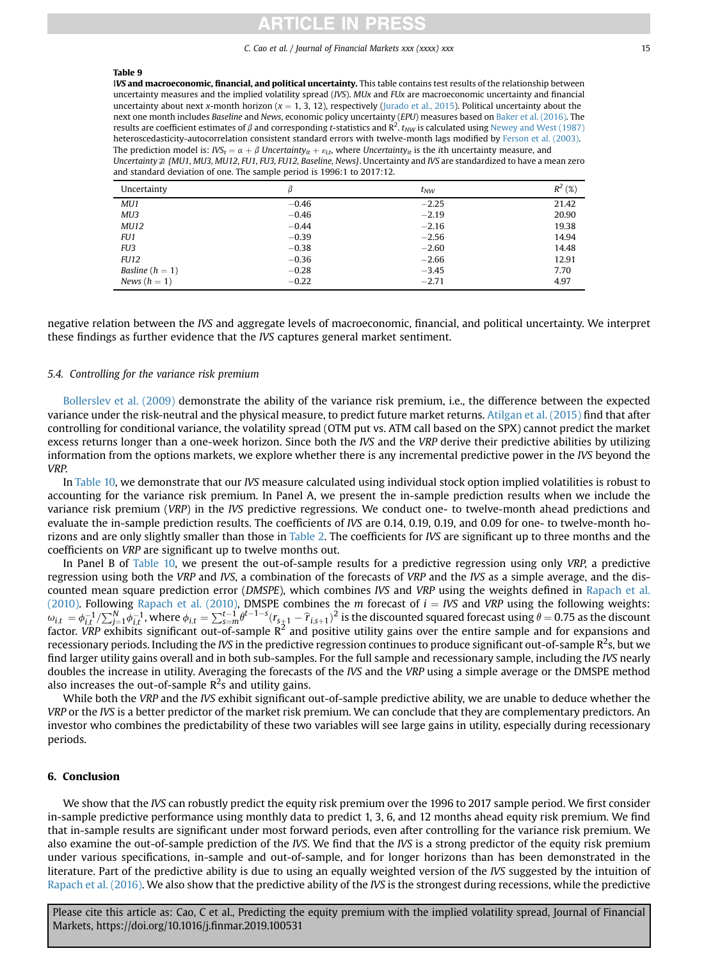# CI E

C. Cao et al. / Journal of Financial Markets xxx (xxxx) xxx 15

#### <span id="page-14-0"></span>Table 9

IVS and macroeconomic, financial, and political uncertainty. This table contains test results of the relationship between uncertainty measures and the implied volatility spread (IVS). MUx and FUx are macroeconomic uncertainty and financial uncertainty about next x-month horizon ( $x = 1, 3, 12$ ), respectively ([Jurado et al., 2015\)](#page-16-0). Political uncertainty about the next one month includes Baseline and News, economic policy uncertainty (EPU) measures based on [Baker et al. \(2016\)](#page-15-0). The results are coefficient estimates of  $\beta$  and corresponding t-statistics and  $R^2$ .  $t_{NW}$  is calculated using [Newey and West \(1987\)](#page-16-0) heteroscedasticity-autocorrelation consistent standard errors with twelve-month lags modified by [Ferson et al. \(2003\).](#page-16-0) The prediction model is:  $IVS_t = \alpha + \beta$  Uncertainty<sub>it</sub> +  $\varepsilon_{i,t}$ , where Uncertainty<sub>it</sub> is the ith uncertainty measure, and Uncertainty $\neq$  {MU1, MU3, MU12, FU1, FU3, FU12, Baseline, News}. Uncertainty and IVS are standardized to have a mean zero and standard deviation of one. The sample period is 1996:1 to 2017:12.

| Uncertainty       |         | $t_{NW}$ | $R^2$<br>(%) |
|-------------------|---------|----------|--------------|
| MU1               | $-0.46$ | $-2.25$  | 21.42        |
| MU3               | $-0.46$ | $-2.19$  | 20.90        |
| <b>MU12</b>       | $-0.44$ | $-2.16$  | 19.38        |
| FU1               | $-0.39$ | $-2.56$  | 14.94        |
| FU <sub>3</sub>   | $-0.38$ | $-2.60$  | 14.48        |
| <b>FU12</b>       | $-0.36$ | $-2.66$  | 12.91        |
| Basline $(h = 1)$ | $-0.28$ | $-3.45$  | 7.70         |
| News $(h = 1)$    | $-0.22$ | $-2.71$  | 4.97         |

negative relation between the IVS and aggregate levels of macroeconomic, financial, and political uncertainty. We interpret these findings as further evidence that the IVS captures general market sentiment.

## 5.4. Controlling for the variance risk premium

[Bollerslev et al. \(2009\)](#page-15-0) demonstrate the ability of the variance risk premium, i.e., the difference between the expected variance under the risk-neutral and the physical measure, to predict future market returns. [Atilgan et al. \(2015\)](#page-15-0) find that after controlling for conditional variance, the volatility spread (OTM put vs. ATM call based on the SPX) cannot predict the market excess returns longer than a one-week horizon. Since both the IVS and the VRP derive their predictive abilities by utilizing information from the options markets, we explore whether there is any incremental predictive power in the IVS beyond the VRP.

In [Table 10](#page-15-0), we demonstrate that our IVS measure calculated using individual stock option implied volatilities is robust to accounting for the variance risk premium. In Panel A, we present the in-sample prediction results when we include the variance risk premium (VRP) in the IVS predictive regressions. We conduct one- to twelve-month ahead predictions and evaluate the in-sample prediction results. The coefficients of IVS are 0.14, 0.19, 0.19, and 0.09 for one- to twelve-month horizons and are only slightly smaller than those in [Table 2.](#page-6-0) The coefficients for IVS are significant up to three months and the coefficients on VRP are significant up to twelve months out.

In Panel B of [Table 10](#page-15-0), we present the out-of-sample results for a predictive regression using only VRP, a predictive regression using both the VRP and IVS, a combination of the forecasts of VRP and the IVS as a simple average, and the discounted mean square prediction error (DMSPE), which combines IVS and VRP using the weights defined in [Rapach et al.](#page-16-0) [\(2010\)](#page-16-0). Following [Rapach et al. \(2010\),](#page-16-0) DMSPE combines the m forecast of  $i = IVS$  and VRP using the following weights:<br> $\epsilon_{1} = \epsilon^{-1}/\sum_{i=1}^{N} \epsilon^{-1}$  where  $\epsilon_{i} = \sum_{i=1}^{L-1} \theta^{t-1-s} (r - \epsilon)^2$  is the discounted squared forecas  $\omega_{i,t} = \phi_{i,t}^{-1}/\sum_{j=1}^{N} \phi_{i,t}^{-1}$ , where  $\phi_{i,t} = \sum_{s=m}^{t-1} \theta^{t-1-s} (r_{s+1} - \hat{r}_{i,s+1})^2$  is the discounted squared forecast using  $\theta = 0.75$  as the discount factor. *VRP* exhibits significant out-of-sample R<sup>2</sup> and p recessionary periods. Including the IVS in the predictive regression continues to produce significant out-of-sample R<sup>2</sup>s, but we find larger utility gains overall and in both sub-samples. For the full sample and recessionary sample, including the IVS nearly doubles the increase in utility. Averaging the forecasts of the IVS and the VRP using a simple average or the DMSPE method also increases the out-of-sample  $R^2$ s and utility gains.

While both the VRP and the IVS exhibit significant out-of-sample predictive ability, we are unable to deduce whether the VRP or the IVS is a better predictor of the market risk premium. We can conclude that they are complementary predictors. An investor who combines the predictability of these two variables will see large gains in utility, especially during recessionary periods.

# 6. Conclusion

We show that the IVS can robustly predict the equity risk premium over the 1996 to 2017 sample period. We first consider in-sample predictive performance using monthly data to predict 1, 3, 6, and 12 months ahead equity risk premium. We find that in-sample results are significant under most forward periods, even after controlling for the variance risk premium. We also examine the out-of-sample prediction of the IVS. We find that the IVS is a strong predictor of the equity risk premium under various specifications, in-sample and out-of-sample, and for longer horizons than has been demonstrated in the literature. Part of the predictive ability is due to using an equally weighted version of the IVS suggested by the intuition of [Rapach et al. \(2016\).](#page-16-0) We also show that the predictive ability of the IVS is the strongest during recessions, while the predictive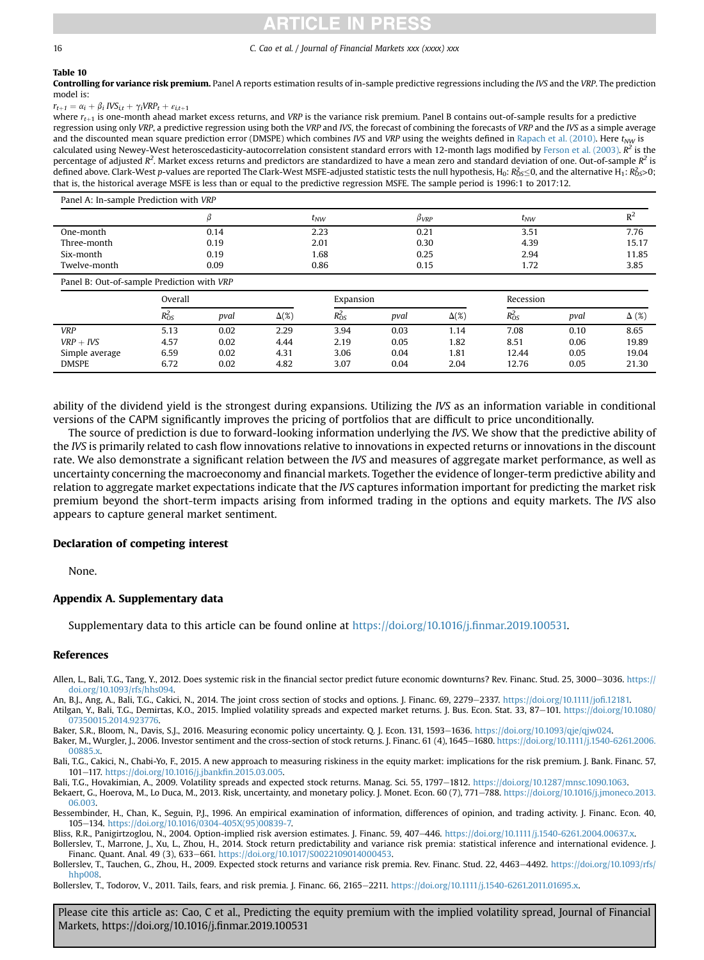# **TICLE IN PRES**

### <span id="page-15-0"></span>16 C. Cao et al. / Journal of Financial Markets xxx (xxxx) xxx

### Table 10

Controlling for variance risk premium. Panel A reports estimation results of in-sample predictive regressions including the IVS and the VRP. The prediction model is:

 $r_{t+1} = \alpha_i + \beta_i IVS_{i,t} + \gamma_i VRP_t + \varepsilon_{i,t+1}$ 

where  $r_{t+1}$  is one-month ahead market excess returns, and VRP is the variance risk premium. Panel B contains out-of-sample results for a predictive regression using only VRP, a predictive regression using both the VRP and IVS, the forecast of combining the forecasts of VRP and the IVS as a simple average and the discounted mean square prediction error (DMSPE) which combines IVS and VRP using the weights defined in [Rapach et al. \(2010\).](#page-16-0) Here  $t_{NW}$  is calculated using Newey-West heteroscedasticity-autocorrelation consistent standard errors with 12-month lags modified by [Ferson et al. \(2003\).](#page-16-0)  $R^2$  is the percentage of adjusted R<sup>2</sup>. Market excess returns and predictors are standardized to have a mean zero and standard deviation of one. Out-of-sample R<sup>2</sup> is defined above. Clark-West p-values are reported The Clark-West MSFE-adjusted statistic tests the null hypothesis, H<sub>0</sub>:  $R_{OS}^2 \le 0$ , and the alternative H<sub>1</sub>:  $R_{OS}^2 > 0$ ;<br>that is the bistorical average MSFE is less than that is, the historical average MSFE is less than or equal to the predictive regression MSFE. The sample period is 1996:1 to 2017:12.

| Panel A: In-sample Prediction with VRP |      |          |      |          |       |  |  |  |
|----------------------------------------|------|----------|------|----------|-------|--|--|--|
|                                        |      | $t_{NW}$ | pvrp | $t_{NW}$ | n4    |  |  |  |
| One-month                              | 0.14 | 2.23     | 0.21 | 3.51     | 7.76  |  |  |  |
| Three-month                            | 0.19 | 2.01     | 0.30 | 4.39     | 15.17 |  |  |  |
| Six-month                              | 0.19 | 1.68     | 0.25 | 2.94     | 11.85 |  |  |  |
| Twelve-month                           | 0.09 | 0.86     | 0.15 | 1.72     | 3.85  |  |  |  |

Panel B: Out-of-sample Prediction with VRP

|                | Overall    |      |              | Expansion  |      |              | Recession |      |              |
|----------------|------------|------|--------------|------------|------|--------------|-----------|------|--------------|
|                | $R_{OS}^2$ | pval | $\Delta(\%)$ | $R_{OS}^2$ | pval | $\Delta(\%)$ | Rós       | pval | $\Delta$ (%) |
| VRP            | 5.13       | 0.02 | 2.29         | 3.94       | 0.03 | 1.14         | 7.08      | 0.10 | 8.65         |
| $VRP + IVS$    | 4.57       | 0.02 | 4.44         | 2.19       | 0.05 | 1.82         | 8.51      | 0.06 | 19.89        |
| Simple average | 6.59       | 0.02 | 4.31         | 3.06       | 0.04 | 1.81         | 12.44     | 0.05 | 19.04        |
| <b>DMSPE</b>   | 6.72       | 0.02 | 4.82         | 3.07       | 0.04 | 2.04         | 12.76     | 0.05 | 21.30        |

ability of the dividend yield is the strongest during expansions. Utilizing the IVS as an information variable in conditional versions of the CAPM significantly improves the pricing of portfolios that are difficult to price unconditionally.

The source of prediction is due to forward-looking information underlying the IVS. We show that the predictive ability of the IVS is primarily related to cash flow innovations relative to innovations in expected returns or innovations in the discount rate. We also demonstrate a significant relation between the IVS and measures of aggregate market performance, as well as uncertainty concerning the macroeconomy and financial markets. Together the evidence of longer-term predictive ability and relation to aggregate market expectations indicate that the IVS captures information important for predicting the market risk premium beyond the short-term impacts arising from informed trading in the options and equity markets. The IVS also appears to capture general market sentiment.

## Declaration of competing interest

None.

# Appendix A. Supplementary data

Supplementary data to this article can be found online at [https://doi.org/10.1016/j.](https://doi.org/10.1016/j.finmar.2019.100531)finmar.2019.100531.

#### References

Allen, L., Bali, T.G., Tang, Y., 2012. Does systemic risk in the financial sector predict future economic downturns? Rev. Financ, Stud. 25, 3000–3036. [https://](https://doi.org/10.1093/rfs/hhs094) [doi.org/10.1093/rfs/hhs094](https://doi.org/10.1093/rfs/hhs094).

An, B.J., Ang, A., Bali, T.G., Cakici, N., 2014. The joint cross section of stocks and options. J. Financ. 69, 2279-2337. [https://doi.org/10.1111/jo](https://doi.org/10.1111/jofi.12181)fi.12181. Atilgan, Y., Bali, T.G., Demirtas, K.O., 2015. Implied volatility spreads and expected market returns. J. Bus. Econ. Stat. 33, 87-101. [https://doi.org/10.1080/](https://doi.org/10.1080/07350015.2014.923776) [07350015.2014.923776.](https://doi.org/10.1080/07350015.2014.923776)

Baker, S.R., Bloom, N., Davis, S.J., 2016. Measuring economic policy uncertainty. Q. J. Econ. 131, 1593–1636. [https://doi.org/10.1093/qje/qjw024.](https://doi.org/10.1093/qje/qjw024)

Baker, M., Wurgler, J., 2006. Investor sentiment and the cross-section of stock returns. J. Financ. 61 (4), 1645-1680. [https://doi.org/10.1111/j.1540-6261.2006.](https://doi.org/10.1111/j.1540-6261.2006.00885.x) [00885.x](https://doi.org/10.1111/j.1540-6261.2006.00885.x)

Bali, T.G., Cakici, N., Chabi-Yo, F., 2015. A new approach to measuring riskiness in the equity market: implications for the risk premium. J. Bank. Financ. 57, 101e117. [https://doi.org/10.1016/j.jbank](https://doi.org/10.1016/j.jbankfin.2015.03.005)fin.2015.03.005.

Bali, T.G., Hovakimian, A., 2009. Volatility spreads and expected stock returns. Manag. Sci. 55, 1797-1812. <https://doi.org/10.1287/mnsc.1090.1063>.

Bekaert, G., Hoerova, M., Lo Duca, M., 2013. Risk, uncertainty, and monetary policy. J. Monet. Econ. 60 (7), 771-788. [https://doi.org/10.1016/j.jmoneco.2013.](https://doi.org/10.1016/j.jmoneco.2013.06.003) [06.003.](https://doi.org/10.1016/j.jmoneco.2013.06.003)

Bessembinder, H., Chan, K., Seguin, P.J., 1996. An empirical examination of information, differences of opinion, and trading activity. J. Financ. Econ. 40, 105e134. [https://doi.org/10.1016/0304-405X\(95\)00839-7.](https://doi.org/10.1016/0304-405X(95)00839-7)

Bliss, R.R., Panigirtzoglou, N., 2004. Option-implied risk aversion estimates. J. Financ. 59, 407-446. [https://doi.org/10.1111/j.1540-6261.2004.00637.x.](https://doi.org/10.1111/j.1540-6261.2004.00637.x)

Bollerslev, T., Marrone, J., Xu, L., Zhou, H., 2014. Stock return predictability and variance risk premia: statistical inference and international evidence. J. Financ. Quant. Anal. 49 (3), 633-661. [https://doi.org/10.1017/S0022109014000453.](https://doi.org/10.1017/S0022109014000453)

Bollerslev, T., Tauchen, G., Zhou, H., 2009. Expected stock returns and variance risk premia. Rev. Financ. Stud. 22, 4463-4492. [https://doi.org/10.1093/rfs/](https://doi.org/10.1093/rfs/hhp008) [hhp008.](https://doi.org/10.1093/rfs/hhp008)

Bollerslev, T., Todorov, V., 2011. Tails, fears, and risk premia. J. Financ. 66, 2165–2211. <https://doi.org/10.1111/j.1540-6261.2011.01695.x>.